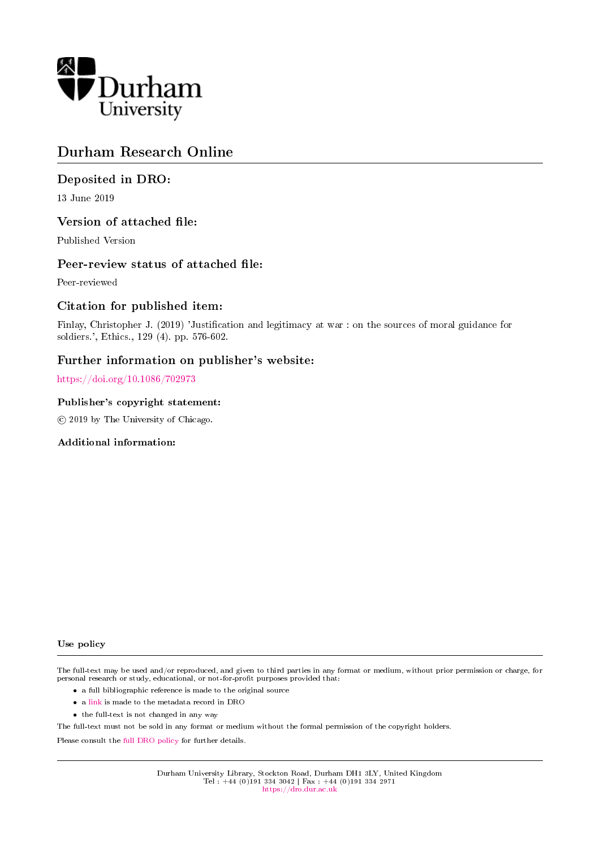

# Durham Research Online

# Deposited in DRO:

13 June 2019

# Version of attached file:

Published Version

# Peer-review status of attached file:

Peer-reviewed

# Citation for published item:

Finlay, Christopher J. (2019) 'Justification and legitimacy at war : on the sources of moral guidance for soldiers.', Ethics., 129 (4). pp. 576-602.

# Further information on publisher's website:

<https://doi.org/10.1086/702973>

## Publisher's copyright statement:

c 2019 by The University of Chicago.

# Additional information:

#### Use policy

The full-text may be used and/or reproduced, and given to third parties in any format or medium, without prior permission or charge, for personal research or study, educational, or not-for-profit purposes provided that:

- a full bibliographic reference is made to the original source
- a [link](http://dro.dur.ac.uk/27404/) is made to the metadata record in DRO
- the full-text is not changed in any way

The full-text must not be sold in any format or medium without the formal permission of the copyright holders.

Please consult the [full DRO policy](https://dro.dur.ac.uk/policies/usepolicy.pdf) for further details.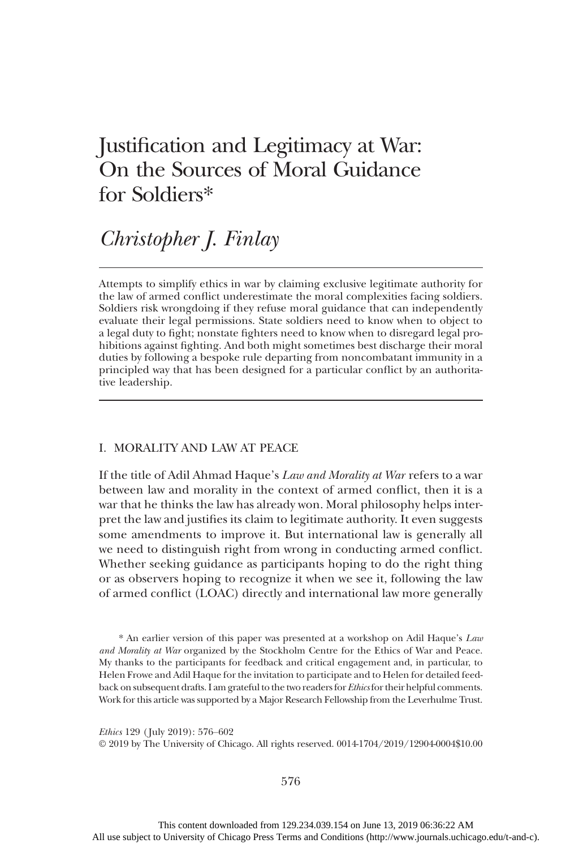# Justification and Legitimacy at War: On the Sources of Moral Guidance for Soldiers\*

# Christopher J. Finlay

Attempts to simplify ethics in war by claiming exclusive legitimate authority for the law of armed conflict underestimate the moral complexities facing soldiers. Soldiers risk wrongdoing if they refuse moral guidance that can independently evaluate their legal permissions. State soldiers need to know when to object to a legal duty to fight; nonstate fighters need to know when to disregard legal prohibitions against fighting. And both might sometimes best discharge their moral duties by following a bespoke rule departing from noncombatant immunity in a principled way that has been designed for a particular conflict by an authoritative leadership.

#### I. MORALITY AND LAW AT PEACE

If the title of Adil Ahmad Haque's Law and Morality at War refers to a war between law and morality in the context of armed conflict, then it is a war that he thinks the law has already won. Moral philosophy helps interpret the law and justifies its claim to legitimate authority. It even suggests some amendments to improve it. But international law is generally all we need to distinguish right from wrong in conducting armed conflict. Whether seeking guidance as participants hoping to do the right thing or as observers hoping to recognize it when we see it, following the law of armed conflict (LOAC) directly and international law more generally

\* An earlier version of this paper was presented at a workshop on Adil Haque's Law and Morality at War organized by the Stockholm Centre for the Ethics of War and Peace. My thanks to the participants for feedback and critical engagement and, in particular, to Helen Frowe and Adil Haque for the invitation to participate and to Helen for detailed feedback on subsequent drafts. I am grateful to the two readers for *Ethics* for their helpful comments. Work for this article was supported by a Major Research Fellowship from the Leverhulme Trust.

Ethics 129 ( July 2019): 576–602

© 2019 by The University of Chicago. All rights reserved. 0014-1704/2019/12904-0004\$10.00

#### 576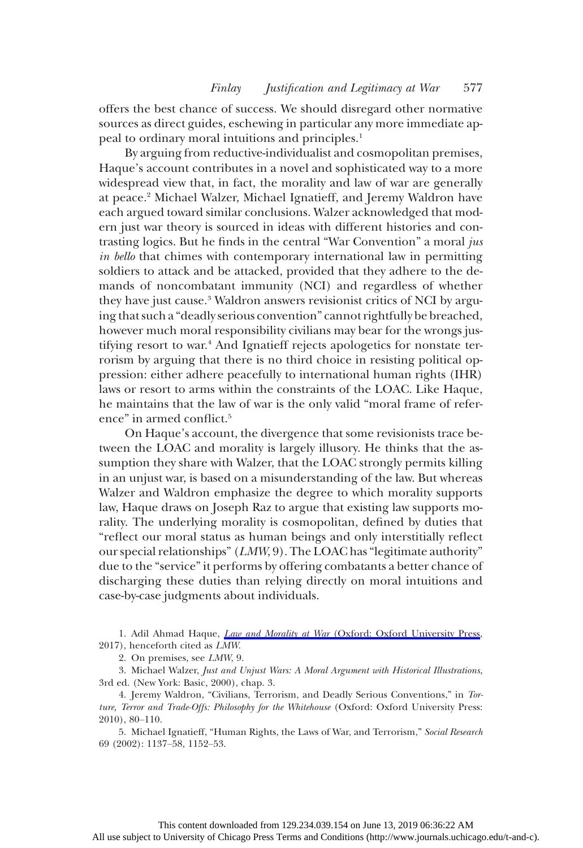offers the best chance of success. We should disregard other normative sources as direct guides, eschewing in particular any more immediate appeal to ordinary moral intuitions and principles.<sup>1</sup>

By arguing from reductive-individualist and cosmopolitan premises, Haque's account contributes in a novel and sophisticated way to a more widespread view that, in fact, the morality and law of war are generally at peace.2 Michael Walzer, Michael Ignatieff, and Jeremy Waldron have each argued toward similar conclusions. Walzer acknowledged that modern just war theory is sourced in ideas with different histories and contrasting logics. But he finds in the central "War Convention" a moral jus in bello that chimes with contemporary international law in permitting soldiers to attack and be attacked, provided that they adhere to the demands of noncombatant immunity (NCI) and regardless of whether they have just cause.<sup>3</sup> Waldron answers revisionist critics of NCI by arguing that such a "deadly serious convention" cannot rightfully be breached, however much moral responsibility civilians may bear for the wrongs justifying resort to war.<sup>4</sup> And Ignatieff rejects apologetics for nonstate terrorism by arguing that there is no third choice in resisting political oppression: either adhere peacefully to international human rights (IHR) laws or resort to arms within the constraints of the LOAC. Like Haque, he maintains that the law of war is the only valid "moral frame of reference" in armed conflict.<sup>5</sup>

On Haque's account, the divergence that some revisionists trace between the LOAC and morality is largely illusory. He thinks that the assumption they share with Walzer, that the LOAC strongly permits killing in an unjust war, is based on a misunderstanding of the law. But whereas Walzer and Waldron emphasize the degree to which morality supports law, Haque draws on Joseph Raz to argue that existing law supports morality. The underlying morality is cosmopolitan, defined by duties that "reflect our moral status as human beings and only interstitially reflect our special relationships" (LMW, 9). The LOAC has "legitimate authority" due to the "service"it performs by offering combatants a better chance of discharging these duties than relying directly on moral intuitions and case-by-case judgments about individuals.

1. Adil Ahmad Haque, *Law and Morality at War* [\(Oxford: Oxford University Press](https://www.journals.uchicago.edu/action/showLinks?doi=10.1086%2F702973&crossref=10.1093%2Facprof%3Aoso%2F9780199687398.001.0001&citationId=p_n_1), 2017), henceforth cited as LMW.

2. On premises, see LMW, 9.

3. Michael Walzer, Just and Unjust Wars: A Moral Argument with Historical Illustrations, 3rd ed. (New York: Basic, 2000), chap. 3.

4. Jeremy Waldron, "Civilians, Terrorism, and Deadly Serious Conventions," in Torture, Terror and Trade-Offs: Philosophy for the Whitehouse (Oxford: Oxford University Press: 2010), 80–110.

5. Michael Ignatieff, "Human Rights, the Laws of War, and Terrorism," Social Research 69 (2002): 1137–58, 1152–53.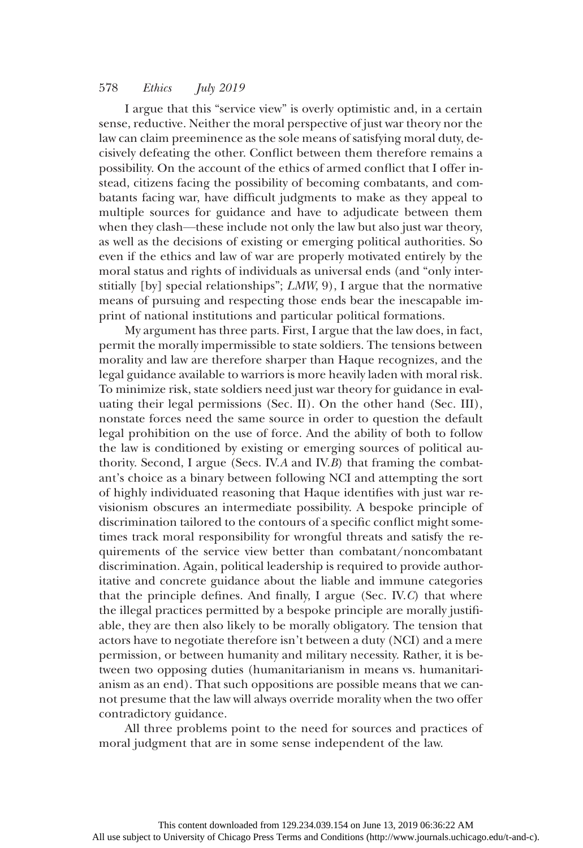I argue that this "service view" is overly optimistic and, in a certain sense, reductive. Neither the moral perspective of just war theory nor the law can claim preeminence as the sole means of satisfying moral duty, decisively defeating the other. Conflict between them therefore remains a possibility. On the account of the ethics of armed conflict that I offer instead, citizens facing the possibility of becoming combatants, and combatants facing war, have difficult judgments to make as they appeal to multiple sources for guidance and have to adjudicate between them when they clash—these include not only the law but also just war theory, as well as the decisions of existing or emerging political authorities. So even if the ethics and law of war are properly motivated entirely by the moral status and rights of individuals as universal ends (and "only interstitially [by] special relationships"; LMW, 9), I argue that the normative means of pursuing and respecting those ends bear the inescapable imprint of national institutions and particular political formations.

My argument has three parts. First, I argue that the law does, in fact, permit the morally impermissible to state soldiers. The tensions between morality and law are therefore sharper than Haque recognizes, and the legal guidance available to warriors is more heavily laden with moral risk. To minimize risk, state soldiers need just war theory for guidance in evaluating their legal permissions (Sec. II). On the other hand (Sec. III), nonstate forces need the same source in order to question the default legal prohibition on the use of force. And the ability of both to follow the law is conditioned by existing or emerging sources of political authority. Second, I argue (Secs. IV.A and IV.B) that framing the combatant's choice as a binary between following NCI and attempting the sort of highly individuated reasoning that Haque identifies with just war revisionism obscures an intermediate possibility. A bespoke principle of discrimination tailored to the contours of a specific conflict might sometimes track moral responsibility for wrongful threats and satisfy the requirements of the service view better than combatant/noncombatant discrimination. Again, political leadership is required to provide authoritative and concrete guidance about the liable and immune categories that the principle defines. And finally, I argue (Sec. IV.C) that where the illegal practices permitted by a bespoke principle are morally justifiable, they are then also likely to be morally obligatory. The tension that actors have to negotiate therefore isn't between a duty (NCI) and a mere permission, or between humanity and military necessity. Rather, it is between two opposing duties (humanitarianism in means vs. humanitarianism as an end). That such oppositions are possible means that we cannot presume that the law will always override morality when the two offer contradictory guidance.

All three problems point to the need for sources and practices of moral judgment that are in some sense independent of the law.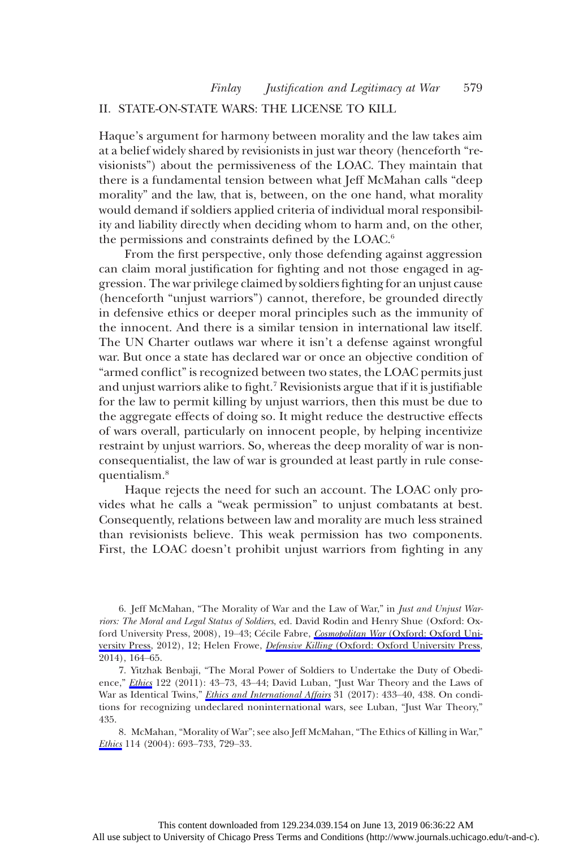## II. STATE-ON-STATE WARS: THE LICENSE TO KILL

Haque's argument for harmony between morality and the law takes aim at a belief widely shared by revisionists in just war theory (henceforth "revisionists") about the permissiveness of the LOAC. They maintain that there is a fundamental tension between what Jeff McMahan calls "deep morality" and the law, that is, between, on the one hand, what morality would demand if soldiers applied criteria of individual moral responsibility and liability directly when deciding whom to harm and, on the other, the permissions and constraints defined by the LOAC.<sup>6</sup>

From the first perspective, only those defending against aggression can claim moral justification for fighting and not those engaged in aggression. The war privilege claimed by soldiers fighting for an unjust cause (henceforth "unjust warriors") cannot, therefore, be grounded directly in defensive ethics or deeper moral principles such as the immunity of the innocent. And there is a similar tension in international law itself. The UN Charter outlaws war where it isn't a defense against wrongful war. But once a state has declared war or once an objective condition of "armed conflict" is recognized between two states, the LOAC permits just and unjust warriors alike to fight.7 Revisionists argue that if it is justifiable for the law to permit killing by unjust warriors, then this must be due to the aggregate effects of doing so. It might reduce the destructive effects of wars overall, particularly on innocent people, by helping incentivize restraint by unjust warriors. So, whereas the deep morality of war is nonconsequentialist, the law of war is grounded at least partly in rule consequentialism.<sup>8</sup>

Haque rejects the need for such an account. The LOAC only provides what he calls a "weak permission" to unjust combatants at best. Consequently, relations between law and morality are much less strained than revisionists believe. This weak permission has two components. First, the LOAC doesn't prohibit unjust warriors from fighting in any

6. Jeff McMahan, "The Morality of War and the Law of War," in Just and Unjust Warriors: The Moral and Legal Status of Soldiers, ed. David Rodin and Henry Shue (Oxford: Ox-ford University Press, 2008), 19-43; Cécile Fabre, Cosmopolitan War [\(Oxford: Oxford Uni](https://www.journals.uchicago.edu/action/showLinks?doi=10.1086%2F702973&crossref=10.1093%2Facprof%3Aoso%2F9780199567164.001.0001&citationId=p_n_8)[versity Press](https://www.journals.uchicago.edu/action/showLinks?doi=10.1086%2F702973&crossref=10.1093%2Facprof%3Aoso%2F9780199567164.001.0001&citationId=p_n_8), 2012), 12; Helen Frowe, *Defensive Killing* [\(Oxford: Oxford University Press](https://www.journals.uchicago.edu/action/showLinks?doi=10.1086%2F702973&crossref=10.1093%2Facprof%3Aoso%2F9780199609857.001.0001&citationId=p_n_9), 2014), 164–65.

7. Yitzhak Benbaji, "The Moral Power of Soldiers to Undertake the Duty of Obedience," [Ethics](https://www.journals.uchicago.edu/action/showLinks?doi=10.1086%2F702973&system=10.1086%2F662293&citationId=p_n_10) 122 (2011): 43–73, 43–44; David Luban, "Just War Theory and the Laws of War as Identical Twins," *[Ethics and International Affairs](https://www.journals.uchicago.edu/action/showLinks?doi=10.1086%2F702973&crossref=10.1017%2FS0892679417000429&citationId=p_n_11)* 31 (2017): 433-40, 438. On conditions for recognizing undeclared noninternational wars, see Luban, "Just War Theory," 435.

8. McMahan, "Morality of War"; see also Jeff McMahan, "The Ethics of Killing in War," [Ethics](https://www.journals.uchicago.edu/action/showLinks?doi=10.1086%2F702973&system=10.1086%2F422400&citationId=p_n_14) 114 (2004): 693–733, 729–33.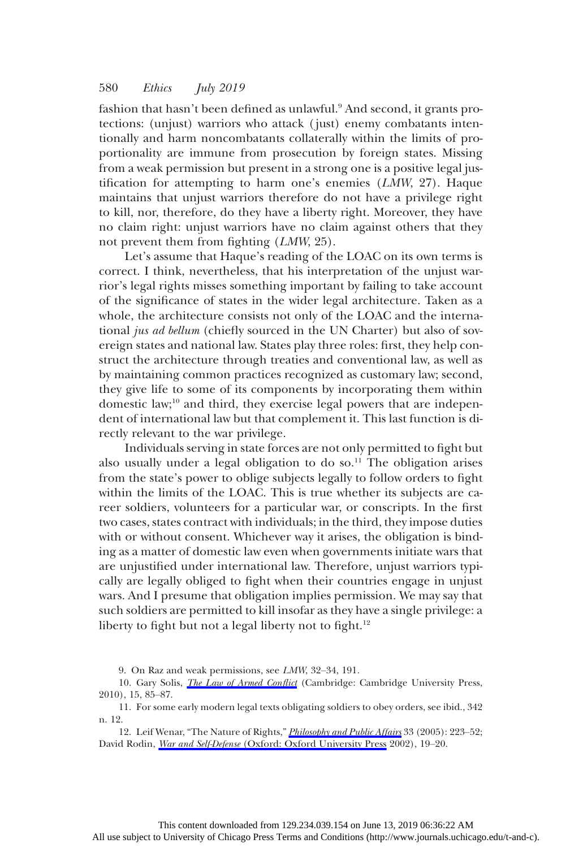fashion that hasn't been defined as unlawful.<sup>9</sup> And second, it grants protections: (unjust) warriors who attack ( just) enemy combatants intentionally and harm noncombatants collaterally within the limits of proportionality are immune from prosecution by foreign states. Missing from a weak permission but present in a strong one is a positive legal justification for attempting to harm one's enemies (LMW, 27). Haque maintains that unjust warriors therefore do not have a privilege right to kill, nor, therefore, do they have a liberty right. Moreover, they have no claim right: unjust warriors have no claim against others that they not prevent them from fighting (LMW, 25).

Let's assume that Haque's reading of the LOAC on its own terms is correct. I think, nevertheless, that his interpretation of the unjust warrior's legal rights misses something important by failing to take account of the significance of states in the wider legal architecture. Taken as a whole, the architecture consists not only of the LOAC and the international jus ad bellum (chiefly sourced in the UN Charter) but also of sovereign states and national law. States play three roles: first, they help construct the architecture through treaties and conventional law, as well as by maintaining common practices recognized as customary law; second, they give life to some of its components by incorporating them within domestic law;<sup>10</sup> and third, they exercise legal powers that are independent of international law but that complement it. This last function is directly relevant to the war privilege.

Individuals serving in state forces are not only permitted to fight but also usually under a legal obligation to do so.<sup>11</sup> The obligation arises from the state's power to oblige subjects legally to follow orders to fight within the limits of the LOAC. This is true whether its subjects are career soldiers, volunteers for a particular war, or conscripts. In the first two cases, states contract with individuals; in the third, they impose duties with or without consent. Whichever way it arises, the obligation is binding as a matter of domestic law even when governments initiate wars that are unjustified under international law. Therefore, unjust warriors typically are legally obliged to fight when their countries engage in unjust wars. And I presume that obligation implies permission. We may say that such soldiers are permitted to kill insofar as they have a single privilege: a liberty to fight but not a legal liberty not to fight.<sup>12</sup>

9. On Raz and weak permissions, see LMW, 32–34, 191.

11. For some early modern legal texts obligating soldiers to obey orders, see ibid., 342 n. 12.

12. Leif Wenar, "The Nature of Rights," [Philosophy and Public Affairs](https://www.journals.uchicago.edu/action/showLinks?doi=10.1086%2F702973&crossref=10.1111%2Fj.1088-4963.2005.00032.x&citationId=p_n_20) 33 (2005): 223–52; David Rodin, War and Self-Defense [\(Oxford: Oxford University Press](https://www.journals.uchicago.edu/action/showLinks?doi=10.1086%2F702973&crossref=10.1093%2F0199257744.001.0001&citationId=p_n_21) 2002), 19-20.

This content downloaded from 129.234.039.154 on June 13, 2019 06:36:22 AM All use subject to University of Chicago Press Terms and Conditions (http://www.journals.uchicago.edu/t-and-c).

<sup>10.</sup> Gary Solis, *[The Law of Armed Conflict](https://www.journals.uchicago.edu/action/showLinks?doi=10.1086%2F702973&crossref=10.1017%2FCBO9780511757839&citationId=p_n_17)* (Cambridge: Cambridge University Press, 2010), 15, 85–87.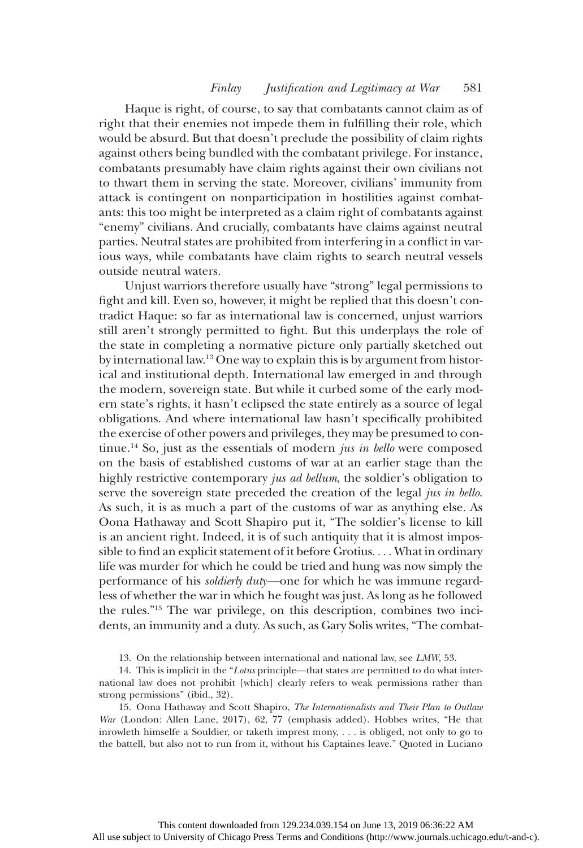#### Finlay *Justification and Legitimacy at War* 581

Haque is right, of course, to say that combatants cannot claim as of right that their enemies not impede them in fulfilling their role, which would be absurd. But that doesn't preclude the possibility of claim rights against others being bundled with the combatant privilege. For instance, combatants presumably have claim rights against their own civilians not to thwart them in serving the state. Moreover, civilians' immunity from attack is contingent on nonparticipation in hostilities against combatants: this too might be interpreted as a claim right of combatants against "enemy" civilians. And crucially, combatants have claims against neutral parties. Neutral states are prohibited from interfering in a conflict in various ways, while combatants have claim rights to search neutral vessels outside neutral waters.

Unjust warriors therefore usually have "strong" legal permissions to fight and kill. Even so, however, it might be replied that this doesn't contradict Haque: so far as international law is concerned, unjust warriors still aren't strongly permitted to fight. But this underplays the role of the state in completing a normative picture only partially sketched out by international law.13 One way to explain this is by argument from historical and institutional depth. International law emerged in and through the modern, sovereign state. But while it curbed some of the early modern state's rights, it hasn't eclipsed the state entirely as a source of legal obligations. And where international law hasn't specifically prohibited the exercise of other powers and privileges, they may be presumed to continue.<sup>14</sup> So, just as the essentials of modern *jus in bello* were composed on the basis of established customs of war at an earlier stage than the highly restrictive contemporary jus ad bellum, the soldier's obligation to serve the sovereign state preceded the creation of the legal jus in bello. As such, it is as much a part of the customs of war as anything else. As Oona Hathaway and Scott Shapiro put it, "The soldier's license to kill is an ancient right. Indeed, it is of such antiquity that it is almost impossible to find an explicit statement of it before Grotius... . What in ordinary life was murder for which he could be tried and hung was now simply the performance of his *soldierly duty*—one for which he was immune regardless of whether the war in which he fought was just. As long as he followed the rules."<sup>15</sup> The war privilege, on this description, combines two incidents, an immunity and a duty. As such, as Gary Solis writes, "The combat-

13. On the relationship between international and national law, see LMW, 53.

14. This is implicit in the "Lotus principle—that states are permitted to do what international law does not prohibit [which] clearly refers to weak permissions rather than strong permissions" (ibid., 32).

15. Oona Hathaway and Scott Shapiro, The Internationalists and Their Plan to Outlaw War (London: Allen Lane, 2017), 62, 77 (emphasis added). Hobbes writes, "He that inrowleth himselfe a Souldier, or taketh imprest mony, ... is obliged, not only to go to the battell, but also not to run from it, without his Captaines leave." Quoted in Luciano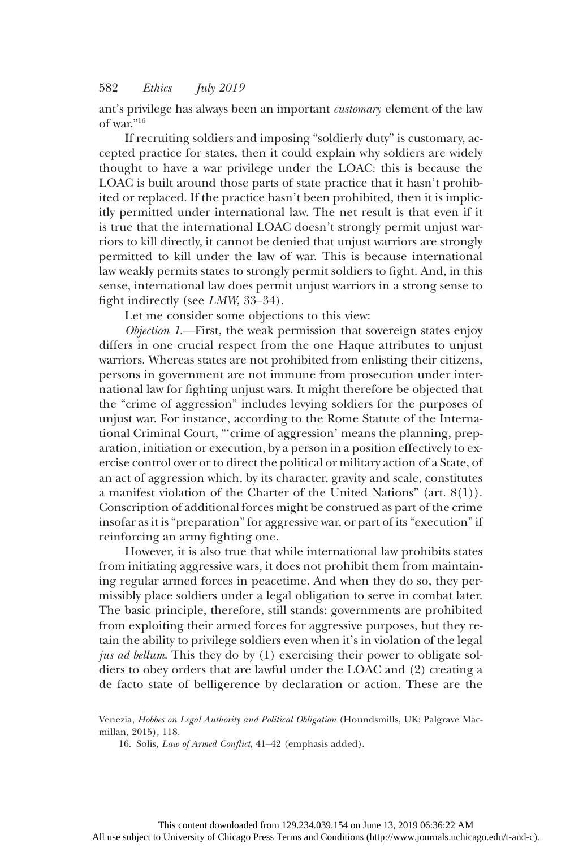ant's privilege has always been an important customary element of the law of war."<sup>16</sup>

If recruiting soldiers and imposing "soldierly duty" is customary, accepted practice for states, then it could explain why soldiers are widely thought to have a war privilege under the LOAC: this is because the LOAC is built around those parts of state practice that it hasn't prohibited or replaced. If the practice hasn't been prohibited, then it is implicitly permitted under international law. The net result is that even if it is true that the international LOAC doesn't strongly permit unjust warriors to kill directly, it cannot be denied that unjust warriors are strongly permitted to kill under the law of war. This is because international law weakly permits states to strongly permit soldiers to fight. And, in this sense, international law does permit unjust warriors in a strong sense to fight indirectly (see LMW, 33–34).

Let me consider some objections to this view:

Objection 1.—First, the weak permission that sovereign states enjoy differs in one crucial respect from the one Haque attributes to unjust warriors. Whereas states are not prohibited from enlisting their citizens, persons in government are not immune from prosecution under international law for fighting unjust wars. It might therefore be objected that the "crime of aggression" includes levying soldiers for the purposes of unjust war. For instance, according to the Rome Statute of the International Criminal Court, "'crime of aggression' means the planning, preparation, initiation or execution, by a person in a position effectively to exercise control over or to direct the political or military action of a State, of an act of aggression which, by its character, gravity and scale, constitutes a manifest violation of the Charter of the United Nations" (art. 8(1)). Conscription of additional forces might be construed as part of the crime insofar as it is "preparation" for aggressive war, or part of its "execution" if reinforcing an army fighting one.

However, it is also true that while international law prohibits states from initiating aggressive wars, it does not prohibit them from maintaining regular armed forces in peacetime. And when they do so, they permissibly place soldiers under a legal obligation to serve in combat later. The basic principle, therefore, still stands: governments are prohibited from exploiting their armed forces for aggressive purposes, but they retain the ability to privilege soldiers even when it's in violation of the legal jus ad bellum. This they do by (1) exercising their power to obligate soldiers to obey orders that are lawful under the LOAC and (2) creating a de facto state of belligerence by declaration or action. These are the

Venezia, Hobbes on Legal Authority and Political Obligation (Houndsmills, UK: Palgrave Macmillan, 2015), 118.

<sup>16.</sup> Solis, Law of Armed Conflict, 41–42 (emphasis added).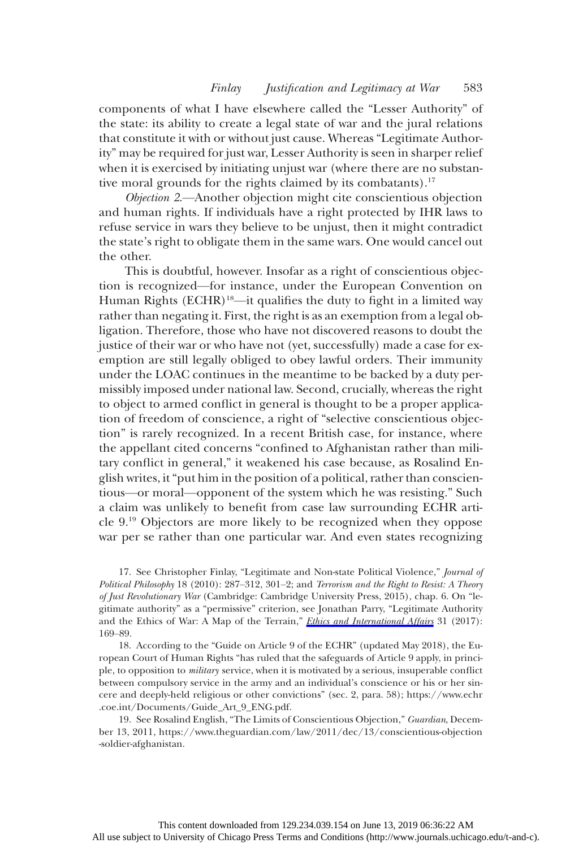components of what I have elsewhere called the "Lesser Authority" of the state: its ability to create a legal state of war and the jural relations that constitute it with or without just cause. Whereas "Legitimate Authority" may be required for just war, Lesser Authority is seen in sharper relief when it is exercised by initiating unjust war (where there are no substantive moral grounds for the rights claimed by its combatants).<sup>17</sup>

Objection 2.—Another objection might cite conscientious objection and human rights. If individuals have a right protected by IHR laws to refuse service in wars they believe to be unjust, then it might contradict the state's right to obligate them in the same wars. One would cancel out the other.

This is doubtful, however. Insofar as a right of conscientious objection is recognized—for instance, under the European Convention on Human Rights  $(ECHR)^{18}$ —it qualifies the duty to fight in a limited way rather than negating it. First, the right is as an exemption from a legal obligation. Therefore, those who have not discovered reasons to doubt the justice of their war or who have not (yet, successfully) made a case for exemption are still legally obliged to obey lawful orders. Their immunity under the LOAC continues in the meantime to be backed by a duty permissibly imposed under national law. Second, crucially, whereas the right to object to armed conflict in general is thought to be a proper application of freedom of conscience, a right of "selective conscientious objection" is rarely recognized. In a recent British case, for instance, where the appellant cited concerns "confined to Afghanistan rather than military conflict in general," it weakened his case because, as Rosalind English writes, it"put him in the position of a political, rather than conscientious—or moral—opponent of the system which he was resisting." Such a claim was unlikely to benefit from case law surrounding ECHR article 9.19 Objectors are more likely to be recognized when they oppose war per se rather than one particular war. And even states recognizing

17. See Christopher Finlay, "Legitimate and Non-state Political Violence," Journal of Political Philosophy 18 (2010): 287–312, 301–2; and Terrorism and the Right to Resist: A Theory of Just Revolutionary War (Cambridge: Cambridge University Press, 2015), chap. 6. On "legitimate authority" as a "permissive" criterion, see Jonathan Parry, "Legitimate Authority and the Ethics of War: A Map of the Terrain," *[Ethics and International Affairs](https://www.journals.uchicago.edu/action/showLinks?doi=10.1086%2F702973&crossref=10.1017%2FS0892679417000065&citationId=p_n_27)* 31 (2017): 169–89.

18. According to the "Guide on Article 9 of the ECHR" (updated May 2018), the European Court of Human Rights "has ruled that the safeguards of Article 9 apply, in principle, to opposition to military service, when it is motivated by a serious, insuperable conflict between compulsory service in the army and an individual's conscience or his or her sincere and deeply-held religious or other convictions" (sec. 2, para. 58); https://www.echr .coe.int/Documents/Guide\_Art\_9\_ENG.pdf.

19. See Rosalind English, "The Limits of Conscientious Objection," Guardian, December 13, 2011, https://www.theguardian.com/law/2011/dec/13/conscientious-objection -soldier-afghanistan.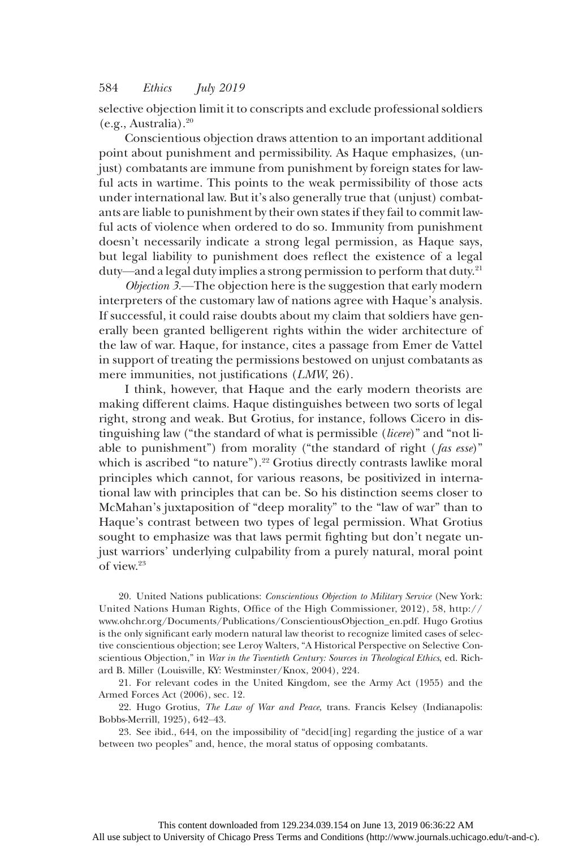selective objection limit it to conscripts and exclude professional soldiers  $(e.g., Australia).<sup>20</sup>$ 

Conscientious objection draws attention to an important additional point about punishment and permissibility. As Haque emphasizes, (unjust) combatants are immune from punishment by foreign states for lawful acts in wartime. This points to the weak permissibility of those acts under international law. But it's also generally true that (unjust) combatants are liable to punishment by their own states if they fail to commit lawful acts of violence when ordered to do so. Immunity from punishment doesn't necessarily indicate a strong legal permission, as Haque says, but legal liability to punishment does reflect the existence of a legal duty—and a legal duty implies a strong permission to perform that duty.<sup>21</sup>

Objection 3.—The objection here is the suggestion that early modern interpreters of the customary law of nations agree with Haque's analysis. If successful, it could raise doubts about my claim that soldiers have generally been granted belligerent rights within the wider architecture of the law of war. Haque, for instance, cites a passage from Emer de Vattel in support of treating the permissions bestowed on unjust combatants as mere immunities, not justifications (LMW, 26).

I think, however, that Haque and the early modern theorists are making different claims. Haque distinguishes between two sorts of legal right, strong and weak. But Grotius, for instance, follows Cicero in distinguishing law ("the standard of what is permissible *(licere)*" and "not liable to punishment") from morality ("the standard of right  $(fas \, ess)$ " which is ascribed "to nature").<sup>22</sup> Grotius directly contrasts lawlike moral principles which cannot, for various reasons, be positivized in international law with principles that can be. So his distinction seems closer to McMahan's juxtaposition of "deep morality" to the "law of war" than to Haque's contrast between two types of legal permission. What Grotius sought to emphasize was that laws permit fighting but don't negate unjust warriors' underlying culpability from a purely natural, moral point of view.23

20. United Nations publications: Conscientious Objection to Military Service (New York: United Nations Human Rights, Office of the High Commissioner, 2012), 58, http:// www.ohchr.org/Documents/Publications/ConscientiousObjection\_en.pdf. Hugo Grotius is the only significant early modern natural law theorist to recognize limited cases of selective conscientious objection; see Leroy Walters, "A Historical Perspective on Selective Conscientious Objection," in War in the Twentieth Century: Sources in Theological Ethics, ed. Richard B. Miller (Louisville, KY: Westminster/Knox, 2004), 224.

21. For relevant codes in the United Kingdom, see the Army Act (1955) and the Armed Forces Act (2006), sec. 12.

22. Hugo Grotius, The Law of War and Peace, trans. Francis Kelsey (Indianapolis: Bobbs-Merrill, 1925), 642–43.

23. See ibid., 644, on the impossibility of "decid[ing] regarding the justice of a war between two peoples" and, hence, the moral status of opposing combatants.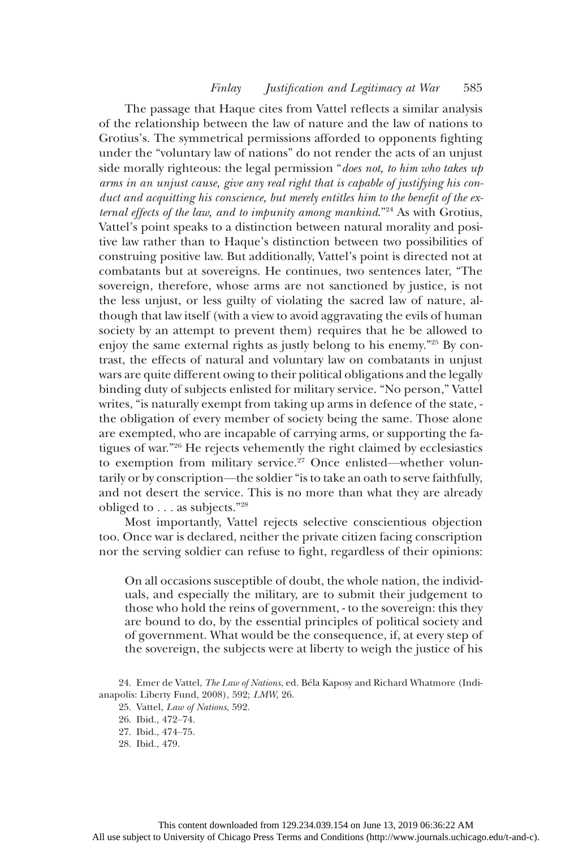#### Finlay *Justification and Legitimacy at War* 585

The passage that Haque cites from Vattel reflects a similar analysis of the relationship between the law of nature and the law of nations to Grotius's. The symmetrical permissions afforded to opponents fighting under the "voluntary law of nations" do not render the acts of an unjust side morally righteous: the legal permission "*does not, to him who takes up* arms in an unjust cause, give any real right that is capable of justifying his conduct and acquitting his conscience, but merely entitles him to the benefit of the external effects of the law, and to impunity among mankind."<sup>24</sup> As with Grotius, Vattel's point speaks to a distinction between natural morality and positive law rather than to Haque's distinction between two possibilities of construing positive law. But additionally, Vattel's point is directed not at combatants but at sovereigns. He continues, two sentences later, "The sovereign, therefore, whose arms are not sanctioned by justice, is not the less unjust, or less guilty of violating the sacred law of nature, although that law itself (with a view to avoid aggravating the evils of human society by an attempt to prevent them) requires that he be allowed to enjoy the same external rights as justly belong to his enemy."<sup>25</sup> By contrast, the effects of natural and voluntary law on combatants in unjust wars are quite different owing to their political obligations and the legally binding duty of subjects enlisted for military service. "No person," Vattel writes, "is naturally exempt from taking up arms in defence of the state, the obligation of every member of society being the same. Those alone are exempted, who are incapable of carrying arms, or supporting the fatigues of war."<sup>26</sup> He rejects vehemently the right claimed by ecclesiastics to exemption from military service.<sup>27</sup> Once enlisted—whether voluntarily or by conscription—the soldier"is to take an oath to serve faithfully, and not desert the service. This is no more than what they are already obliged to ... as subjects."<sup>28</sup>

Most importantly, Vattel rejects selective conscientious objection too. Once war is declared, neither the private citizen facing conscription nor the serving soldier can refuse to fight, regardless of their opinions:

On all occasions susceptible of doubt, the whole nation, the individuals, and especially the military, are to submit their judgement to those who hold the reins of government, - to the sovereign: this they are bound to do, by the essential principles of political society and of government. What would be the consequence, if, at every step of the sovereign, the subjects were at liberty to weigh the justice of his

<sup>24.</sup> Emer de Vattel, The Law of Nations, ed. Béla Kaposy and Richard Whatmore (Indianapolis: Liberty Fund, 2008), 592; LMW, 26.

<sup>25.</sup> Vattel, Law of Nations, 592.

<sup>26.</sup> Ibid., 472–74.

<sup>27.</sup> Ibid., 474–75.

<sup>28.</sup> Ibid., 479.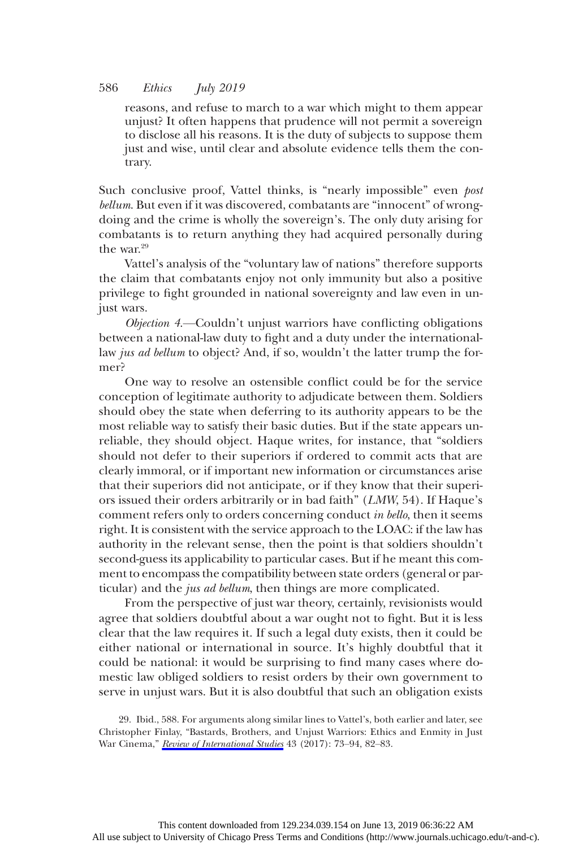reasons, and refuse to march to a war which might to them appear unjust? It often happens that prudence will not permit a sovereign to disclose all his reasons. It is the duty of subjects to suppose them just and wise, until clear and absolute evidence tells them the contrary.

Such conclusive proof, Vattel thinks, is "nearly impossible" even *post* bellum. But even if it was discovered, combatants are "innocent" of wrongdoing and the crime is wholly the sovereign's. The only duty arising for combatants is to return anything they had acquired personally during the war.<sup>29</sup>

Vattel's analysis of the "voluntary law of nations" therefore supports the claim that combatants enjoy not only immunity but also a positive privilege to fight grounded in national sovereignty and law even in unjust wars.

Objection 4.—Couldn't unjust warriors have conflicting obligations between a national-law duty to fight and a duty under the internationallaw *jus ad bellum* to object? And, if so, wouldn't the latter trump the former?

One way to resolve an ostensible conflict could be for the service conception of legitimate authority to adjudicate between them. Soldiers should obey the state when deferring to its authority appears to be the most reliable way to satisfy their basic duties. But if the state appears unreliable, they should object. Haque writes, for instance, that "soldiers should not defer to their superiors if ordered to commit acts that are clearly immoral, or if important new information or circumstances arise that their superiors did not anticipate, or if they know that their superiors issued their orders arbitrarily or in bad faith" (LMW, 54). If Haque's comment refers only to orders concerning conduct in bello, then it seems right. It is consistent with the service approach to the LOAC: if the law has authority in the relevant sense, then the point is that soldiers shouldn't second-guess its applicability to particular cases. But if he meant this comment to encompass the compatibility between state orders (general or particular) and the *jus ad bellum*, then things are more complicated.

From the perspective of just war theory, certainly, revisionists would agree that soldiers doubtful about a war ought not to fight. But it is less clear that the law requires it. If such a legal duty exists, then it could be either national or international in source. It's highly doubtful that it could be national: it would be surprising to find many cases where domestic law obliged soldiers to resist orders by their own government to serve in unjust wars. But it is also doubtful that such an obligation exists

<sup>29.</sup> Ibid., 588. For arguments along similar lines to Vattel's, both earlier and later, see Christopher Finlay, "Bastards, Brothers, and Unjust Warriors: Ethics and Enmity in Just War Cinema," [Review of International Studies](https://www.journals.uchicago.edu/action/showLinks?doi=10.1086%2F702973&crossref=10.1017%2FS0260210516000255&citationId=p_n_44) 43 (2017): 73-94, 82-83.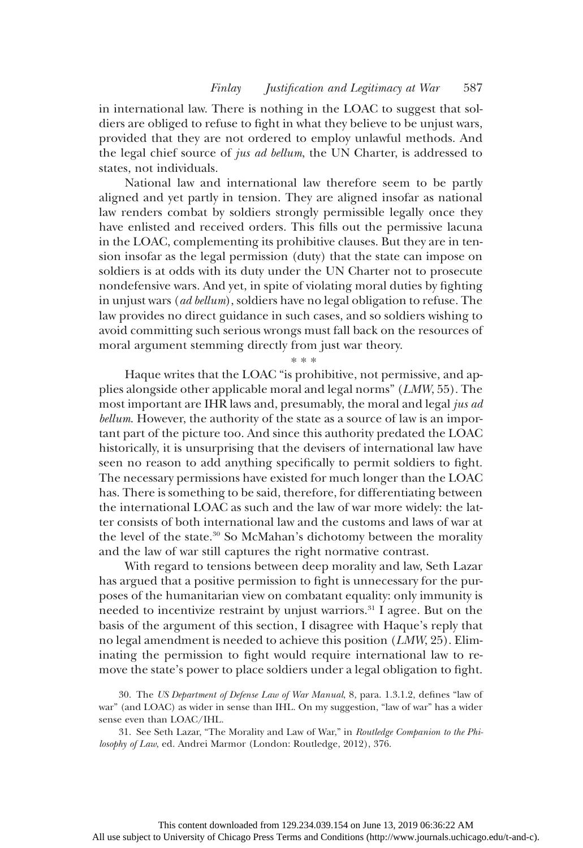in international law. There is nothing in the LOAC to suggest that soldiers are obliged to refuse to fight in what they believe to be unjust wars, provided that they are not ordered to employ unlawful methods. And the legal chief source of jus ad bellum, the UN Charter, is addressed to states, not individuals.

National law and international law therefore seem to be partly aligned and yet partly in tension. They are aligned insofar as national law renders combat by soldiers strongly permissible legally once they have enlisted and received orders. This fills out the permissive lacuna in the LOAC, complementing its prohibitive clauses. But they are in tension insofar as the legal permission (duty) that the state can impose on soldiers is at odds with its duty under the UN Charter not to prosecute nondefensive wars. And yet, in spite of violating moral duties by fighting in unjust wars (ad bellum), soldiers have no legal obligation to refuse. The law provides no direct guidance in such cases, and so soldiers wishing to avoid committing such serious wrongs must fall back on the resources of moral argument stemming directly from just war theory.

\*\*\*

Haque writes that the LOAC "is prohibitive, not permissive, and applies alongside other applicable moral and legal norms" (LMW, 55). The most important are IHR laws and, presumably, the moral and legal jus ad bellum. However, the authority of the state as a source of law is an important part of the picture too. And since this authority predated the LOAC historically, it is unsurprising that the devisers of international law have seen no reason to add anything specifically to permit soldiers to fight. The necessary permissions have existed for much longer than the LOAC has. There is something to be said, therefore, for differentiating between the international LOAC as such and the law of war more widely: the latter consists of both international law and the customs and laws of war at the level of the state.30 So McMahan's dichotomy between the morality and the law of war still captures the right normative contrast.

With regard to tensions between deep morality and law, Seth Lazar has argued that a positive permission to fight is unnecessary for the purposes of the humanitarian view on combatant equality: only immunity is needed to incentivize restraint by unjust warriors.<sup>31</sup> I agree. But on the basis of the argument of this section, I disagree with Haque's reply that no legal amendment is needed to achieve this position (LMW, 25). Eliminating the permission to fight would require international law to remove the state's power to place soldiers under a legal obligation to fight.

30. The US Department of Defense Law of War Manual, 8, para. 1.3.1.2, defines "law of war" (and LOAC) as wider in sense than IHL. On my suggestion, "law of war" has a wider sense even than LOAC/IHL.

31. See Seth Lazar, "The Morality and Law of War," in Routledge Companion to the Philosophy of Law, ed. Andrei Marmor (London: Routledge, 2012), 376.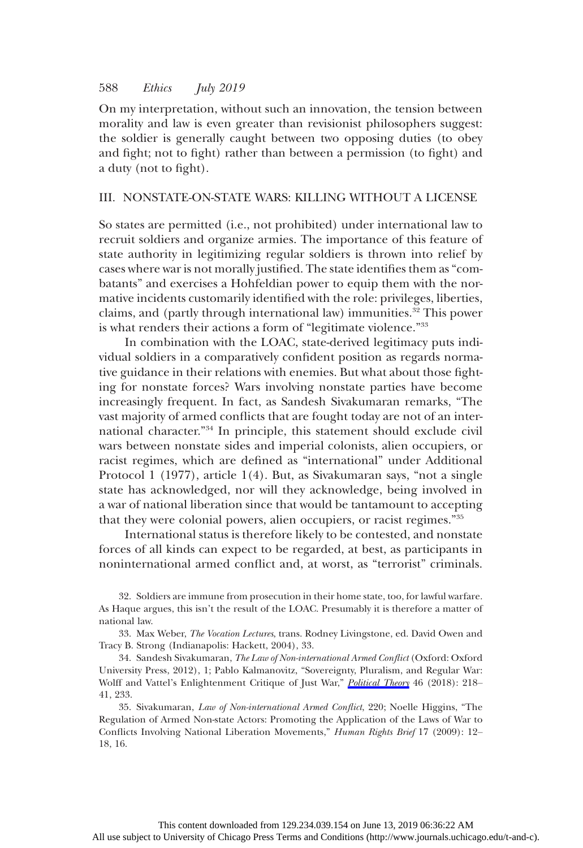On my interpretation, without such an innovation, the tension between morality and law is even greater than revisionist philosophers suggest: the soldier is generally caught between two opposing duties (to obey and fight; not to fight) rather than between a permission (to fight) and a duty (not to fight).

## III. NONSTATE-ON-STATE WARS: KILLING WITHOUT A LICENSE

So states are permitted (i.e., not prohibited) under international law to recruit soldiers and organize armies. The importance of this feature of state authority in legitimizing regular soldiers is thrown into relief by cases where war is not morally justified. The state identifies them as"combatants" and exercises a Hohfeldian power to equip them with the normative incidents customarily identified with the role: privileges, liberties, claims, and (partly through international law) immunities.<sup>32</sup> This power is what renders their actions a form of "legitimate violence."<sup>33</sup>

In combination with the LOAC, state-derived legitimacy puts individual soldiers in a comparatively confident position as regards normative guidance in their relations with enemies. But what about those fighting for nonstate forces? Wars involving nonstate parties have become increasingly frequent. In fact, as Sandesh Sivakumaran remarks, "The vast majority of armed conflicts that are fought today are not of an international character."<sup>34</sup> In principle, this statement should exclude civil wars between nonstate sides and imperial colonists, alien occupiers, or racist regimes, which are defined as "international" under Additional Protocol 1 (1977), article 1(4). But, as Sivakumaran says, "not a single state has acknowledged, nor will they acknowledge, being involved in a war of national liberation since that would be tantamount to accepting that they were colonial powers, alien occupiers, or racist regimes."<sup>35</sup>

International status is therefore likely to be contested, and nonstate forces of all kinds can expect to be regarded, at best, as participants in noninternational armed conflict and, at worst, as "terrorist" criminals.

32. Soldiers are immune from prosecution in their home state, too, for lawful warfare. As Haque argues, this isn't the result of the LOAC. Presumably it is therefore a matter of national law.

33. Max Weber, The Vocation Lectures, trans. Rodney Livingstone, ed. David Owen and Tracy B. Strong (Indianapolis: Hackett, 2004), 33.

34. Sandesh Sivakumaran, The Law of Non-international Armed Conflict (Oxford: Oxford University Press, 2012), 1; Pablo Kalmanovitz, "Sovereignty, Pluralism, and Regular War: Wolff and Vattel's Enlightenment Critique of Just War," [Political Theory](https://www.journals.uchicago.edu/action/showLinks?doi=10.1086%2F702973&crossref=10.1177%2F0090591716688047&citationId=p_n_50) 46 (2018): 218– 41, 233.

35. Sivakumaran, Law of Non-international Armed Conflict, 220; Noelle Higgins, "The Regulation of Armed Non-state Actors: Promoting the Application of the Laws of War to Conflicts Involving National Liberation Movements," Human Rights Brief 17 (2009): 12– 18, 16.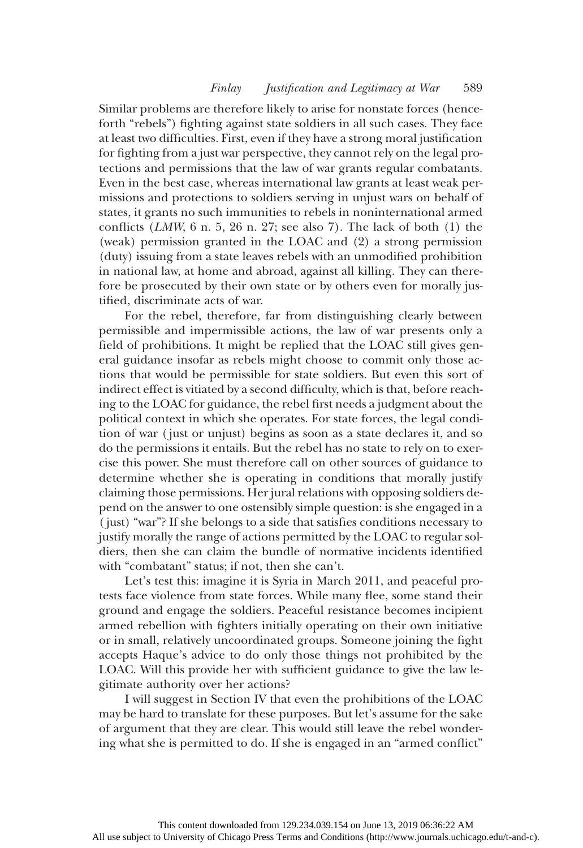#### Finlay *Justification and Legitimacy at War* 589

Similar problems are therefore likely to arise for nonstate forces (henceforth "rebels") fighting against state soldiers in all such cases. They face at least two difficulties. First, even if they have a strong moral justification for fighting from a just war perspective, they cannot rely on the legal protections and permissions that the law of war grants regular combatants. Even in the best case, whereas international law grants at least weak permissions and protections to soldiers serving in unjust wars on behalf of states, it grants no such immunities to rebels in noninternational armed conflicts  $(LMW, 6 n. 5, 26 n. 27$ ; see also 7). The lack of both  $(1)$  the (weak) permission granted in the LOAC and (2) a strong permission (duty) issuing from a state leaves rebels with an unmodified prohibition in national law, at home and abroad, against all killing. They can therefore be prosecuted by their own state or by others even for morally justified, discriminate acts of war.

For the rebel, therefore, far from distinguishing clearly between permissible and impermissible actions, the law of war presents only a field of prohibitions. It might be replied that the LOAC still gives general guidance insofar as rebels might choose to commit only those actions that would be permissible for state soldiers. But even this sort of indirect effect is vitiated by a second difficulty, which is that, before reaching to the LOAC for guidance, the rebel first needs a judgment about the political context in which she operates. For state forces, the legal condition of war ( just or unjust) begins as soon as a state declares it, and so do the permissions it entails. But the rebel has no state to rely on to exercise this power. She must therefore call on other sources of guidance to determine whether she is operating in conditions that morally justify claiming those permissions. Her jural relations with opposing soldiers depend on the answer to one ostensibly simple question: is she engaged in a ( just) "war"? If she belongs to a side that satisfies conditions necessary to justify morally the range of actions permitted by the LOAC to regular soldiers, then she can claim the bundle of normative incidents identified with "combatant" status; if not, then she can't.

Let's test this: imagine it is Syria in March 2011, and peaceful protests face violence from state forces. While many flee, some stand their ground and engage the soldiers. Peaceful resistance becomes incipient armed rebellion with fighters initially operating on their own initiative or in small, relatively uncoordinated groups. Someone joining the fight accepts Haque's advice to do only those things not prohibited by the LOAC. Will this provide her with sufficient guidance to give the law legitimate authority over her actions?

I will suggest in Section IV that even the prohibitions of the LOAC may be hard to translate for these purposes. But let's assume for the sake of argument that they are clear. This would still leave the rebel wondering what she is permitted to do. If she is engaged in an "armed conflict"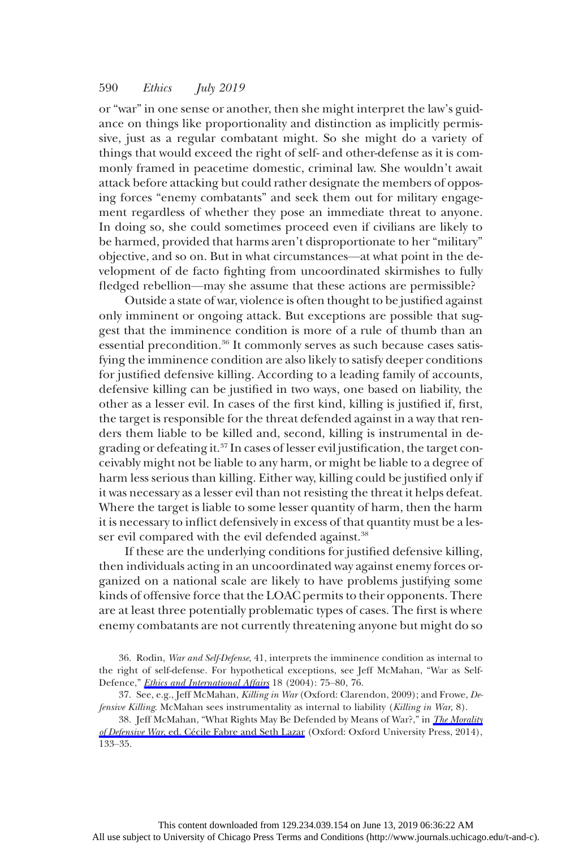or "war" in one sense or another, then she might interpret the law's guidance on things like proportionality and distinction as implicitly permissive, just as a regular combatant might. So she might do a variety of things that would exceed the right of self- and other-defense as it is commonly framed in peacetime domestic, criminal law. She wouldn't await attack before attacking but could rather designate the members of opposing forces "enemy combatants" and seek them out for military engagement regardless of whether they pose an immediate threat to anyone. In doing so, she could sometimes proceed even if civilians are likely to be harmed, provided that harms aren't disproportionate to her "military" objective, and so on. But in what circumstances—at what point in the development of de facto fighting from uncoordinated skirmishes to fully fledged rebellion—may she assume that these actions are permissible?

Outside a state of war, violence is often thought to be justified against only imminent or ongoing attack. But exceptions are possible that suggest that the imminence condition is more of a rule of thumb than an essential precondition.<sup>36</sup> It commonly serves as such because cases satisfying the imminence condition are also likely to satisfy deeper conditions for justified defensive killing. According to a leading family of accounts, defensive killing can be justified in two ways, one based on liability, the other as a lesser evil. In cases of the first kind, killing is justified if, first, the target is responsible for the threat defended against in a way that renders them liable to be killed and, second, killing is instrumental in degrading or defeating it.37 In cases of lesser evil justification, the target conceivably might not be liable to any harm, or might be liable to a degree of harm less serious than killing. Either way, killing could be justified only if it was necessary as a lesser evil than not resisting the threat it helps defeat. Where the target is liable to some lesser quantity of harm, then the harm it is necessary to inflict defensively in excess of that quantity must be a lesser evil compared with the evil defended against.<sup>38</sup>

If these are the underlying conditions for justified defensive killing, then individuals acting in an uncoordinated way against enemy forces organized on a national scale are likely to have problems justifying some kinds of offensive force that the LOAC permits to their opponents. There are at least three potentially problematic types of cases. The first is where enemy combatants are not currently threatening anyone but might do so

<sup>36.</sup> Rodin, War and Self-Defense, 41, interprets the imminence condition as internal to the right of self-defense. For hypothetical exceptions, see Jeff McMahan, "War as Self-Defence," *[Ethics and International Affairs](https://www.journals.uchicago.edu/action/showLinks?doi=10.1086%2F702973&crossref=10.1111%2Fj.1747-7093.2004.tb00453.x&citationId=p_n_54)* 18 (2004): 75-80, 76.

<sup>37.</sup> See, e.g., Jeff McMahan, Killing in War (Oxford: Clarendon, 2009); and Frowe, Defensive Killing. McMahan sees instrumentality as internal to liability (Killing in War, 8).

<sup>38.</sup> Jeff McMahan, "What Rights May Be Defended by Means of War?," in *[The Morality](https://www.journals.uchicago.edu/action/showLinks?doi=10.1086%2F702973&crossref=10.1093%2Facprof%3Aoso%2F9780199682836.003.0006&citationId=p_n_57)* of Defensive War, ed. Cé[cile Fabre and Seth Lazar](https://www.journals.uchicago.edu/action/showLinks?doi=10.1086%2F702973&crossref=10.1093%2Facprof%3Aoso%2F9780199682836.003.0006&citationId=p_n_57) (Oxford: Oxford University Press, 2014), 133–35.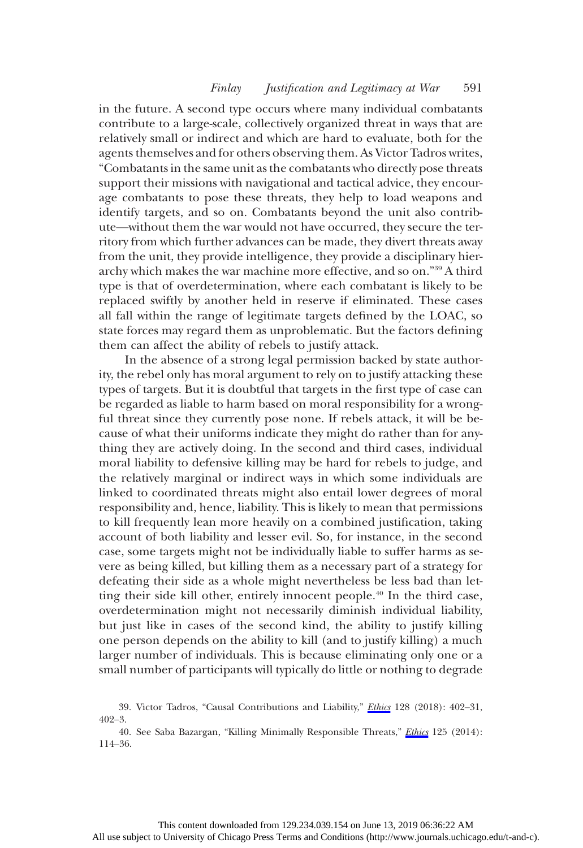#### Finlay Justification and Legitimacy at War 591

in the future. A second type occurs where many individual combatants contribute to a large-scale, collectively organized threat in ways that are relatively small or indirect and which are hard to evaluate, both for the agents themselves and for others observing them. As Victor Tadros writes, "Combatants in the same unit as the combatants who directly pose threats support their missions with navigational and tactical advice, they encourage combatants to pose these threats, they help to load weapons and identify targets, and so on. Combatants beyond the unit also contribute—without them the war would not have occurred, they secure the territory from which further advances can be made, they divert threats away from the unit, they provide intelligence, they provide a disciplinary hierarchy which makes the war machine more effective, and so on."<sup>39</sup> A third type is that of overdetermination, where each combatant is likely to be replaced swiftly by another held in reserve if eliminated. These cases all fall within the range of legitimate targets defined by the LOAC, so state forces may regard them as unproblematic. But the factors defining them can affect the ability of rebels to justify attack.

In the absence of a strong legal permission backed by state authority, the rebel only has moral argument to rely on to justify attacking these types of targets. But it is doubtful that targets in the first type of case can be regarded as liable to harm based on moral responsibility for a wrongful threat since they currently pose none. If rebels attack, it will be because of what their uniforms indicate they might do rather than for anything they are actively doing. In the second and third cases, individual moral liability to defensive killing may be hard for rebels to judge, and the relatively marginal or indirect ways in which some individuals are linked to coordinated threats might also entail lower degrees of moral responsibility and, hence, liability. This is likely to mean that permissions to kill frequently lean more heavily on a combined justification, taking account of both liability and lesser evil. So, for instance, in the second case, some targets might not be individually liable to suffer harms as severe as being killed, but killing them as a necessary part of a strategy for defeating their side as a whole might nevertheless be less bad than letting their side kill other, entirely innocent people.<sup>40</sup> In the third case, overdetermination might not necessarily diminish individual liability, but just like in cases of the second kind, the ability to justify killing one person depends on the ability to kill (and to justify killing) a much larger number of individuals. This is because eliminating only one or a small number of participants will typically do little or nothing to degrade

<sup>39.</sup> Victor Tadros, "Causal Contributions and Liability," [Ethics](https://www.journals.uchicago.edu/action/showLinks?doi=10.1086%2F702973&system=10.1086%2F694275&citationId=p_n_58) 128 (2018): 402–31, 402–3.

<sup>40.</sup> See Saba Bazargan, "Killing Minimally Responsible Threats," [Ethics](https://www.journals.uchicago.edu/action/showLinks?doi=10.1086%2F702973&system=10.1086%2F677023&citationId=p_n_59) 125 (2014): 114–36.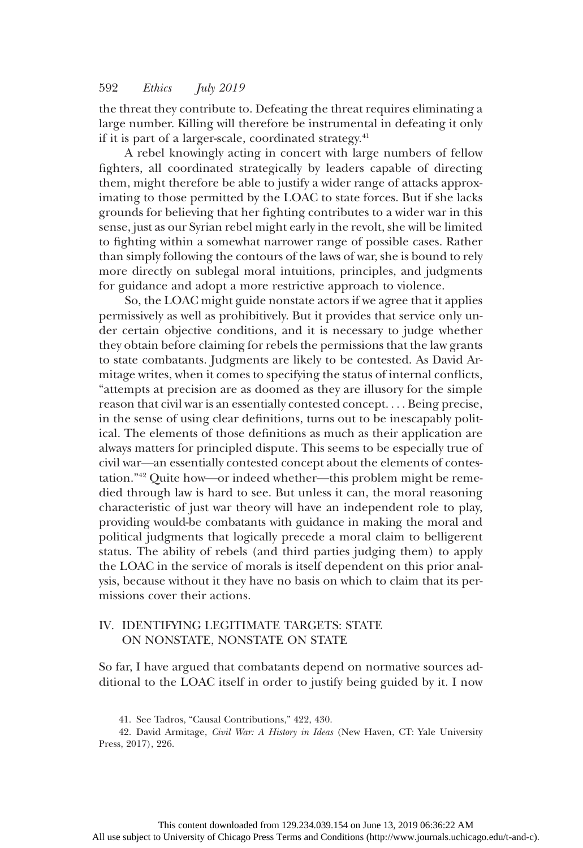the threat they contribute to. Defeating the threat requires eliminating a large number. Killing will therefore be instrumental in defeating it only if it is part of a larger-scale, coordinated strategy. $41$ 

A rebel knowingly acting in concert with large numbers of fellow fighters, all coordinated strategically by leaders capable of directing them, might therefore be able to justify a wider range of attacks approximating to those permitted by the LOAC to state forces. But if she lacks grounds for believing that her fighting contributes to a wider war in this sense, just as our Syrian rebel might early in the revolt, she will be limited to fighting within a somewhat narrower range of possible cases. Rather than simply following the contours of the laws of war, she is bound to rely more directly on sublegal moral intuitions, principles, and judgments for guidance and adopt a more restrictive approach to violence.

So, the LOAC might guide nonstate actors if we agree that it applies permissively as well as prohibitively. But it provides that service only under certain objective conditions, and it is necessary to judge whether they obtain before claiming for rebels the permissions that the law grants to state combatants. Judgments are likely to be contested. As David Armitage writes, when it comes to specifying the status of internal conflicts, "attempts at precision are as doomed as they are illusory for the simple reason that civil war is an essentially contested concept... . Being precise, in the sense of using clear definitions, turns out to be inescapably political. The elements of those definitions as much as their application are always matters for principled dispute. This seems to be especially true of civil war—an essentially contested concept about the elements of contestation."<sup>42</sup> Quite how—or indeed whether—this problem might be remedied through law is hard to see. But unless it can, the moral reasoning characteristic of just war theory will have an independent role to play, providing would-be combatants with guidance in making the moral and political judgments that logically precede a moral claim to belligerent status. The ability of rebels (and third parties judging them) to apply the LOAC in the service of morals is itself dependent on this prior analysis, because without it they have no basis on which to claim that its permissions cover their actions.

### IV. IDENTIFYING LEGITIMATE TARGETS: STATE ON NONSTATE, NONSTATE ON STATE

So far, I have argued that combatants depend on normative sources additional to the LOAC itself in order to justify being guided by it. I now

42. David Armitage, Civil War: A History in Ideas (New Haven, CT: Yale University Press, 2017), 226.

<sup>41.</sup> See Tadros, "Causal Contributions," 422, 430.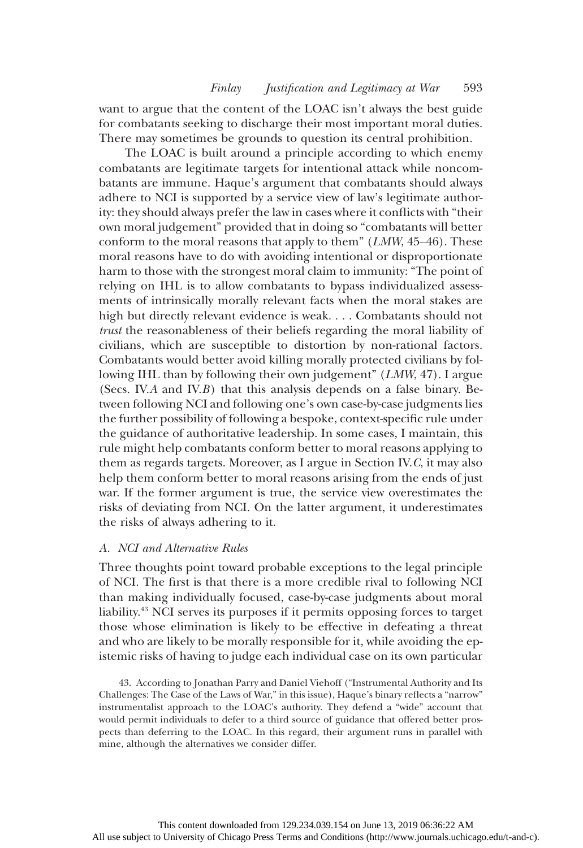want to argue that the content of the LOAC isn't always the best guide for combatants seeking to discharge their most important moral duties. There may sometimes be grounds to question its central prohibition.

The LOAC is built around a principle according to which enemy combatants are legitimate targets for intentional attack while noncombatants are immune. Haque's argument that combatants should always adhere to NCI is supported by a service view of law's legitimate authority: they should always prefer the law in cases where it conflicts with "their own moral judgement" provided that in doing so "combatants will better conform to the moral reasons that apply to them" (LMW, 45–46). These moral reasons have to do with avoiding intentional or disproportionate harm to those with the strongest moral claim to immunity: "The point of relying on IHL is to allow combatants to bypass individualized assessments of intrinsically morally relevant facts when the moral stakes are high but directly relevant evidence is weak... . Combatants should not trust the reasonableness of their beliefs regarding the moral liability of civilians, which are susceptible to distortion by non-rational factors. Combatants would better avoid killing morally protected civilians by following IHL than by following their own judgement" (LMW, 47). I argue (Secs. IV.A and IV.B) that this analysis depends on a false binary. Between following NCI and following one's own case-by-case judgments lies the further possibility of following a bespoke, context-specific rule under the guidance of authoritative leadership. In some cases, I maintain, this rule might help combatants conform better to moral reasons applying to them as regards targets. Moreover, as I argue in Section IV.C, it may also help them conform better to moral reasons arising from the ends of just war. If the former argument is true, the service view overestimates the risks of deviating from NCI. On the latter argument, it underestimates the risks of always adhering to it.

#### A. NCI and Alternative Rules

Three thoughts point toward probable exceptions to the legal principle of NCI. The first is that there is a more credible rival to following NCI than making individually focused, case-by-case judgments about moral liability.43 NCI serves its purposes if it permits opposing forces to target those whose elimination is likely to be effective in defeating a threat and who are likely to be morally responsible for it, while avoiding the epistemic risks of having to judge each individual case on its own particular

43. According to Jonathan Parry and Daniel Viehoff ("Instrumental Authority and Its Challenges: The Case of the Laws of War," in this issue), Haque's binary reflects a "narrow" instrumentalist approach to the LOAC's authority. They defend a "wide" account that would permit individuals to defer to a third source of guidance that offered better prospects than deferring to the LOAC. In this regard, their argument runs in parallel with mine, although the alternatives we consider differ.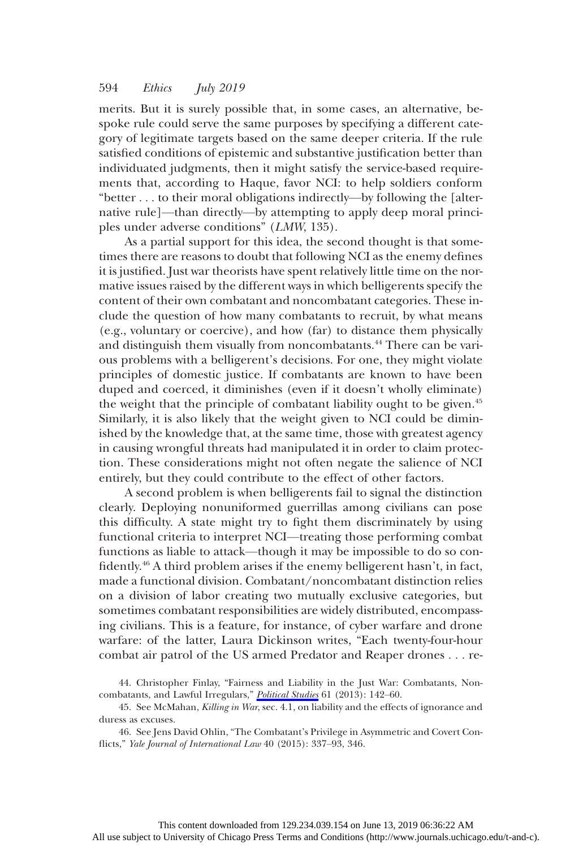merits. But it is surely possible that, in some cases, an alternative, bespoke rule could serve the same purposes by specifying a different category of legitimate targets based on the same deeper criteria. If the rule satisfied conditions of epistemic and substantive justification better than individuated judgments, then it might satisfy the service-based requirements that, according to Haque, favor NCI: to help soldiers conform "better ... to their moral obligations indirectly—by following the [alternative rule]—than directly—by attempting to apply deep moral principles under adverse conditions" (LMW, 135).

As a partial support for this idea, the second thought is that sometimes there are reasons to doubt that following NCI as the enemy defines it is justified. Just war theorists have spent relatively little time on the normative issues raised by the different ways in which belligerents specify the content of their own combatant and noncombatant categories. These include the question of how many combatants to recruit, by what means (e.g., voluntary or coercive), and how (far) to distance them physically and distinguish them visually from noncombatants.<sup>44</sup> There can be various problems with a belligerent's decisions. For one, they might violate principles of domestic justice. If combatants are known to have been duped and coerced, it diminishes (even if it doesn't wholly eliminate) the weight that the principle of combatant liability ought to be given.<sup>45</sup> Similarly, it is also likely that the weight given to NCI could be diminished by the knowledge that, at the same time, those with greatest agency in causing wrongful threats had manipulated it in order to claim protection. These considerations might not often negate the salience of NCI entirely, but they could contribute to the effect of other factors.

A second problem is when belligerents fail to signal the distinction clearly. Deploying nonuniformed guerrillas among civilians can pose this difficulty. A state might try to fight them discriminately by using functional criteria to interpret NCI—treating those performing combat functions as liable to attack—though it may be impossible to do so confidently.46 A third problem arises if the enemy belligerent hasn't, in fact, made a functional division. Combatant/noncombatant distinction relies on a division of labor creating two mutually exclusive categories, but sometimes combatant responsibilities are widely distributed, encompassing civilians. This is a feature, for instance, of cyber warfare and drone warfare: of the latter, Laura Dickinson writes, "Each twenty-four-hour combat air patrol of the US armed Predator and Reaper drones ... re-

44. Christopher Finlay, "Fairness and Liability in the Just War: Combatants, Non-combatants, and Lawful Irregulars," [Political Studies](https://www.journals.uchicago.edu/action/showLinks?doi=10.1086%2F702973&crossref=10.1111%2Fj.1467-9248.2012.00954.x&citationId=p_n_65) 61 (2013): 142-60.

45. See McMahan, Killing in War, sec. 4.1, on liability and the effects of ignorance and duress as excuses.

46. See Jens David Ohlin, "The Combatant's Privilege in Asymmetric and Covert Conflicts," Yale Journal of International Law 40 (2015): 337–93, 346.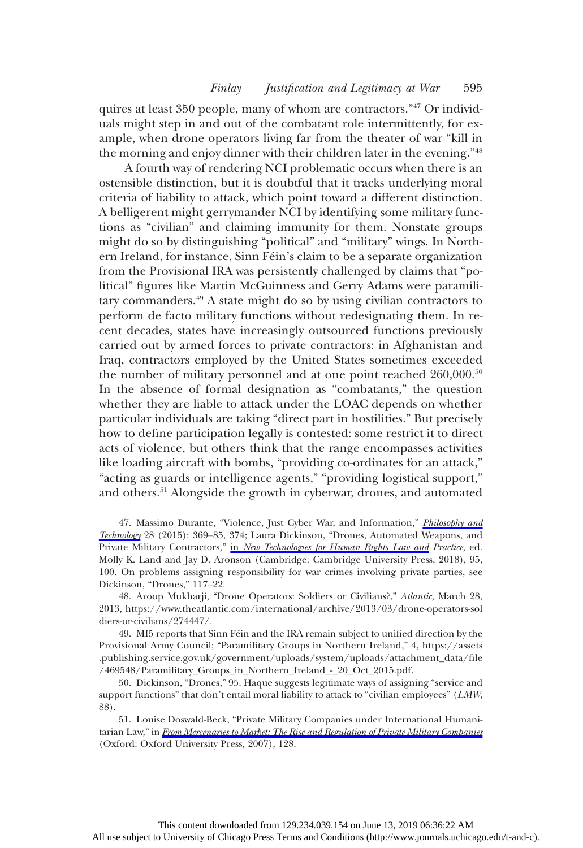quires at least 350 people, many of whom are contractors."<sup>47</sup> Or individuals might step in and out of the combatant role intermittently, for example, when drone operators living far from the theater of war "kill in the morning and enjoy dinner with their children later in the evening."<sup>48</sup>

A fourth way of rendering NCI problematic occurs when there is an ostensible distinction, but it is doubtful that it tracks underlying moral criteria of liability to attack, which point toward a different distinction. A belligerent might gerrymander NCI by identifying some military functions as "civilian" and claiming immunity for them. Nonstate groups might do so by distinguishing "political" and "military" wings. In Northern Ireland, for instance, Sinn Féin's claim to be a separate organization from the Provisional IRA was persistently challenged by claims that "political" figures like Martin McGuinness and Gerry Adams were paramilitary commanders.49 A state might do so by using civilian contractors to perform de facto military functions without redesignating them. In recent decades, states have increasingly outsourced functions previously carried out by armed forces to private contractors: in Afghanistan and Iraq, contractors employed by the United States sometimes exceeded the number of military personnel and at one point reached 260,000.50 In the absence of formal designation as "combatants," the question whether they are liable to attack under the LOAC depends on whether particular individuals are taking "direct part in hostilities." But precisely how to define participation legally is contested: some restrict it to direct acts of violence, but others think that the range encompasses activities like loading aircraft with bombs, "providing co-ordinates for an attack," "acting as guards or intelligence agents," "providing logistical support," and others.51 Alongside the growth in cyberwar, drones, and automated

47. Massimo Durante, "Violence, Just Cyber War, and Information," [Philosophy and](https://www.journals.uchicago.edu/action/showLinks?doi=10.1086%2F702973&crossref=10.1007%2Fs13347-014-0176-5&citationId=p_n_70) [Technology](https://www.journals.uchicago.edu/action/showLinks?doi=10.1086%2F702973&crossref=10.1007%2Fs13347-014-0176-5&citationId=p_n_70) 28 (2015): 369–85, 374; Laura Dickinson, "Drones, Automated Weapons, and Private Military Contractors," in [New Technologies for Human Rights Law and](https://www.journals.uchicago.edu/action/showLinks?doi=10.1086%2F702973&crossref=10.1017%2F9781316838952.005&citationId=p_n_71) Practice, ed. Molly K. Land and Jay D. Aronson (Cambridge: Cambridge University Press, 2018), 95, 100. On problems assigning responsibility for war crimes involving private parties, see Dickinson, "Drones," 117–22.

48. Aroop Mukharji, "Drone Operators: Soldiers or Civilians?," Atlantic, March 28, 2013, https://www.theatlantic.com/international/archive/2013/03/drone-operators-sol diers-or-civilians/274447/.

49. MI5 reports that Sinn Féin and the IRA remain subject to unified direction by the Provisional Army Council; "Paramilitary Groups in Northern Ireland," 4, https://assets .publishing.service.gov.uk/government/uploads/system/uploads/attachment\_data/file /469548/Paramilitary\_Groups\_in\_Northern\_Ireland\_-\_20\_Oct\_2015.pdf.

50. Dickinson, "Drones," 95. Haque suggests legitimate ways of assigning "service and support functions" that don't entail moral liability to attack to "civilian employees" (LMW, 88).

51. Louise Doswald-Beck, "Private Military Companies under International Humanitarian Law," in [From Mercenaries to Market: The Rise and Regulation of Private Military Companies](https://www.journals.uchicago.edu/action/showLinks?doi=10.1086%2F702973&crossref=10.1093%2Facprof%3Aoso%2F9780199228485.003.0008&citationId=p_n_77) (Oxford: Oxford University Press, 2007), 128.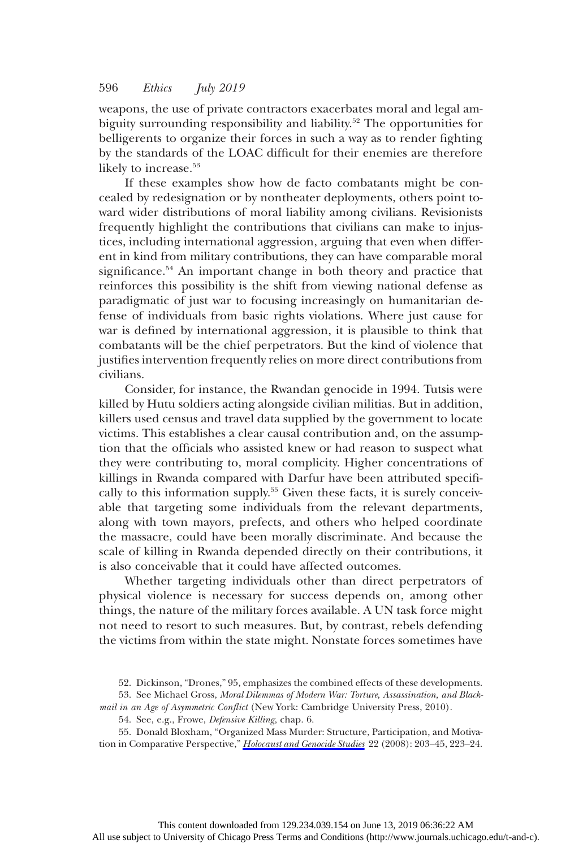weapons, the use of private contractors exacerbates moral and legal ambiguity surrounding responsibility and liability.<sup>52</sup> The opportunities for belligerents to organize their forces in such a way as to render fighting by the standards of the LOAC difficult for their enemies are therefore likely to increase.<sup>53</sup>

If these examples show how de facto combatants might be concealed by redesignation or by nontheater deployments, others point toward wider distributions of moral liability among civilians. Revisionists frequently highlight the contributions that civilians can make to injustices, including international aggression, arguing that even when different in kind from military contributions, they can have comparable moral significance.<sup>54</sup> An important change in both theory and practice that reinforces this possibility is the shift from viewing national defense as paradigmatic of just war to focusing increasingly on humanitarian defense of individuals from basic rights violations. Where just cause for war is defined by international aggression, it is plausible to think that combatants will be the chief perpetrators. But the kind of violence that justifies intervention frequently relies on more direct contributions from civilians.

Consider, for instance, the Rwandan genocide in 1994. Tutsis were killed by Hutu soldiers acting alongside civilian militias. But in addition, killers used census and travel data supplied by the government to locate victims. This establishes a clear causal contribution and, on the assumption that the officials who assisted knew or had reason to suspect what they were contributing to, moral complicity. Higher concentrations of killings in Rwanda compared with Darfur have been attributed specifically to this information supply.<sup>55</sup> Given these facts, it is surely conceivable that targeting some individuals from the relevant departments, along with town mayors, prefects, and others who helped coordinate the massacre, could have been morally discriminate. And because the scale of killing in Rwanda depended directly on their contributions, it is also conceivable that it could have affected outcomes.

Whether targeting individuals other than direct perpetrators of physical violence is necessary for success depends on, among other things, the nature of the military forces available. A UN task force might not need to resort to such measures. But, by contrast, rebels defending the victims from within the state might. Nonstate forces sometimes have

55. Donald Bloxham, "Organized Mass Murder: Structure, Participation, and Motiva-tion in Comparative Perspective," [Holocaust and Genocide Studies](https://www.journals.uchicago.edu/action/showLinks?doi=10.1086%2F702973&crossref=10.1093%2Fhgs%2Fdcn026&citationId=p_n_82) 22 (2008): 203-45, 223-24.

<sup>52.</sup> Dickinson, "Drones," 95, emphasizes the combined effects of these developments.

<sup>53.</sup> See Michael Gross, Moral Dilemmas of Modern War: Torture, Assassination, and Black-

mail in an Age of Asymmetric Conflict (New York: Cambridge University Press, 2010).

<sup>54.</sup> See, e.g., Frowe, Defensive Killing, chap. 6.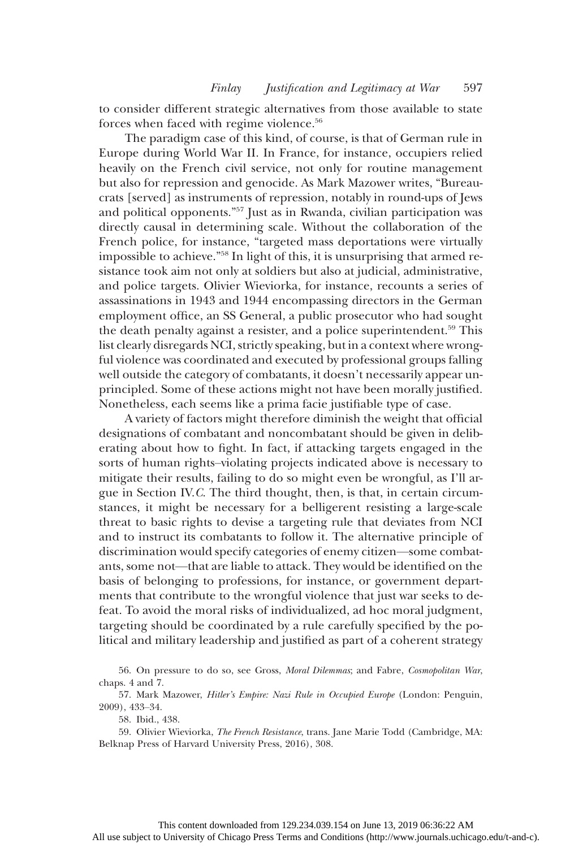to consider different strategic alternatives from those available to state forces when faced with regime violence.<sup>56</sup>

The paradigm case of this kind, of course, is that of German rule in Europe during World War II. In France, for instance, occupiers relied heavily on the French civil service, not only for routine management but also for repression and genocide. As Mark Mazower writes, "Bureaucrats [served] as instruments of repression, notably in round-ups of Jews and political opponents."<sup>57</sup> Just as in Rwanda, civilian participation was directly causal in determining scale. Without the collaboration of the French police, for instance, "targeted mass deportations were virtually impossible to achieve."<sup>58</sup> In light of this, it is unsurprising that armed resistance took aim not only at soldiers but also at judicial, administrative, and police targets. Olivier Wieviorka, for instance, recounts a series of assassinations in 1943 and 1944 encompassing directors in the German employment office, an SS General, a public prosecutor who had sought the death penalty against a resister, and a police superintendent.<sup>59</sup> This list clearly disregards NCI, strictly speaking, but in a context where wrongful violence was coordinated and executed by professional groups falling well outside the category of combatants, it doesn't necessarily appear unprincipled. Some of these actions might not have been morally justified. Nonetheless, each seems like a prima facie justifiable type of case.

A variety of factors might therefore diminish the weight that official designations of combatant and noncombatant should be given in deliberating about how to fight. In fact, if attacking targets engaged in the sorts of human rights–violating projects indicated above is necessary to mitigate their results, failing to do so might even be wrongful, as I'll argue in Section IV.C. The third thought, then, is that, in certain circumstances, it might be necessary for a belligerent resisting a large-scale threat to basic rights to devise a targeting rule that deviates from NCI and to instruct its combatants to follow it. The alternative principle of discrimination would specify categories of enemy citizen—some combatants, some not—that are liable to attack. They would be identified on the basis of belonging to professions, for instance, or government departments that contribute to the wrongful violence that just war seeks to defeat. To avoid the moral risks of individualized, ad hoc moral judgment, targeting should be coordinated by a rule carefully specified by the political and military leadership and justified as part of a coherent strategy

56. On pressure to do so, see Gross, Moral Dilemmas; and Fabre, Cosmopolitan War, chaps. 4 and 7.

57. Mark Mazower, Hitler's Empire: Nazi Rule in Occupied Europe (London: Penguin, 2009), 433–34.

58. Ibid., 438.

59. Olivier Wieviorka, The French Resistance, trans. Jane Marie Todd (Cambridge, MA: Belknap Press of Harvard University Press, 2016), 308.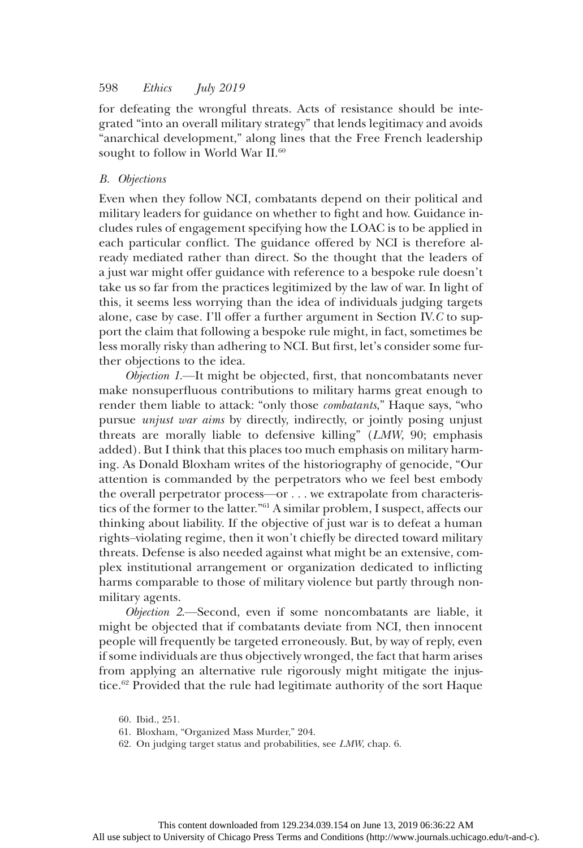for defeating the wrongful threats. Acts of resistance should be integrated "into an overall military strategy" that lends legitimacy and avoids "anarchical development," along lines that the Free French leadership sought to follow in World War II.<sup>60</sup>

#### B. Objections

Even when they follow NCI, combatants depend on their political and military leaders for guidance on whether to fight and how. Guidance includes rules of engagement specifying how the LOAC is to be applied in each particular conflict. The guidance offered by NCI is therefore already mediated rather than direct. So the thought that the leaders of a just war might offer guidance with reference to a bespoke rule doesn't take us so far from the practices legitimized by the law of war. In light of this, it seems less worrying than the idea of individuals judging targets alone, case by case. I'll offer a further argument in Section IV.C to support the claim that following a bespoke rule might, in fact, sometimes be less morally risky than adhering to NCI. But first, let's consider some further objections to the idea.

Objection 1.—It might be objected, first, that noncombatants never make nonsuperfluous contributions to military harms great enough to render them liable to attack: "only those *combatants*," Haque says, "who pursue *unjust war aims* by directly, indirectly, or jointly posing unjust threats are morally liable to defensive killing" (LMW, 90; emphasis added). But I think that this places too much emphasis on military harming. As Donald Bloxham writes of the historiography of genocide, "Our attention is commanded by the perpetrators who we feel best embody the overall perpetrator process—or ... we extrapolate from characteristics of the former to the latter."<sup>61</sup> A similar problem, I suspect, affects our thinking about liability. If the objective of just war is to defeat a human rights–violating regime, then it won't chiefly be directed toward military threats. Defense is also needed against what might be an extensive, complex institutional arrangement or organization dedicated to inflicting harms comparable to those of military violence but partly through nonmilitary agents.

Objection 2.—Second, even if some noncombatants are liable, it might be objected that if combatants deviate from NCI, then innocent people will frequently be targeted erroneously. But, by way of reply, even if some individuals are thus objectively wronged, the fact that harm arises from applying an alternative rule rigorously might mitigate the injustice.<sup>62</sup> Provided that the rule had legitimate authority of the sort Haque

62. On judging target status and probabilities, see LMW, chap. 6.

<sup>60.</sup> Ibid., 251.

<sup>61.</sup> Bloxham, "Organized Mass Murder," 204.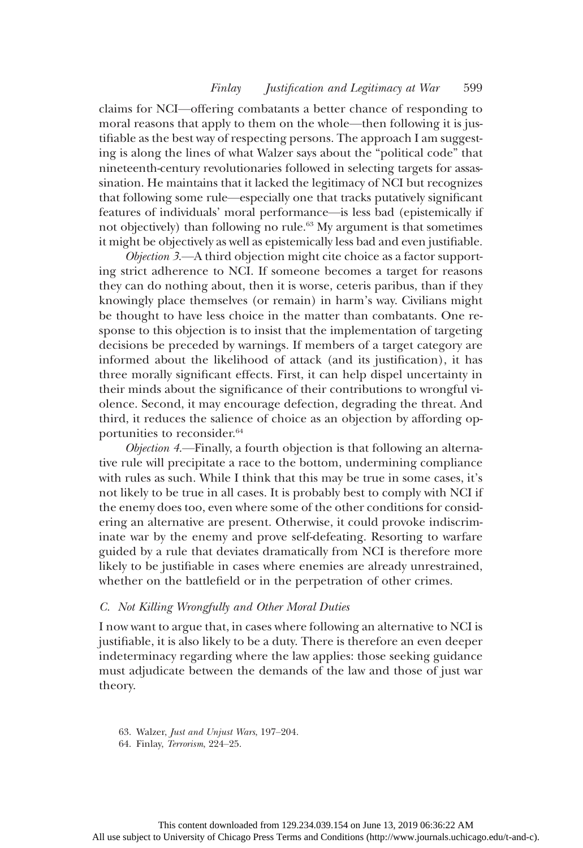#### Finlay Justification and Legitimacy at War 599

claims for NCI—offering combatants a better chance of responding to moral reasons that apply to them on the whole—then following it is justifiable as the best way of respecting persons. The approach I am suggesting is along the lines of what Walzer says about the "political code" that nineteenth-century revolutionaries followed in selecting targets for assassination. He maintains that it lacked the legitimacy of NCI but recognizes that following some rule—especially one that tracks putatively significant features of individuals' moral performance—is less bad (epistemically if not objectively) than following no rule.<sup>63</sup> My argument is that sometimes it might be objectively as well as epistemically less bad and even justifiable.

Objection 3.—A third objection might cite choice as a factor supporting strict adherence to NCI. If someone becomes a target for reasons they can do nothing about, then it is worse, ceteris paribus, than if they knowingly place themselves (or remain) in harm's way. Civilians might be thought to have less choice in the matter than combatants. One response to this objection is to insist that the implementation of targeting decisions be preceded by warnings. If members of a target category are informed about the likelihood of attack (and its justification), it has three morally significant effects. First, it can help dispel uncertainty in their minds about the significance of their contributions to wrongful violence. Second, it may encourage defection, degrading the threat. And third, it reduces the salience of choice as an objection by affording opportunities to reconsider.64

Objection 4.—Finally, a fourth objection is that following an alternative rule will precipitate a race to the bottom, undermining compliance with rules as such. While I think that this may be true in some cases, it's not likely to be true in all cases. It is probably best to comply with NCI if the enemy does too, even where some of the other conditions for considering an alternative are present. Otherwise, it could provoke indiscriminate war by the enemy and prove self-defeating. Resorting to warfare guided by a rule that deviates dramatically from NCI is therefore more likely to be justifiable in cases where enemies are already unrestrained, whether on the battlefield or in the perpetration of other crimes.

#### C. Not Killing Wrongfully and Other Moral Duties

I now want to argue that, in cases where following an alternative to NCI is justifiable, it is also likely to be a duty. There is therefore an even deeper indeterminacy regarding where the law applies: those seeking guidance must adjudicate between the demands of the law and those of just war theory.

<sup>63.</sup> Walzer, Just and Unjust Wars, 197–204.

<sup>64.</sup> Finlay, Terrorism, 224–25.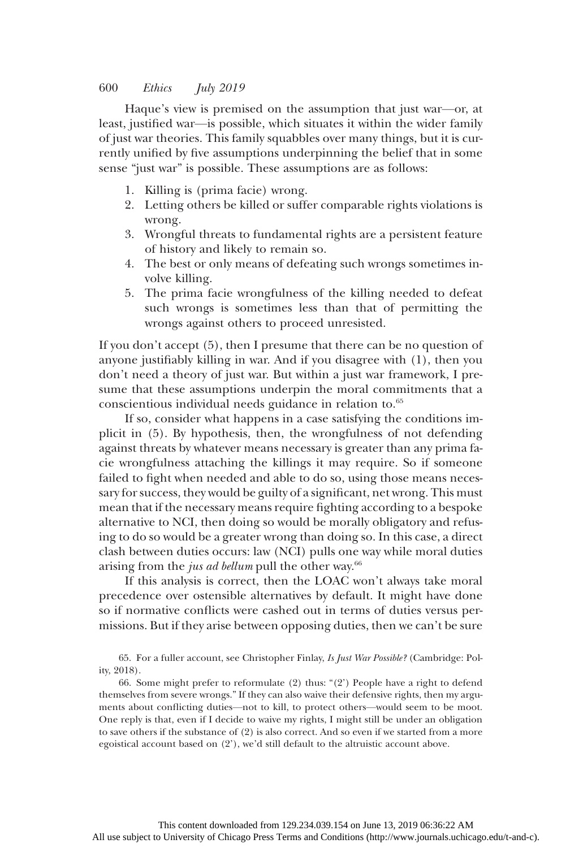Haque's view is premised on the assumption that just war—or, at least, justified war—is possible, which situates it within the wider family of just war theories. This family squabbles over many things, but it is currently unified by five assumptions underpinning the belief that in some sense "just war" is possible. These assumptions are as follows:

- 1. Killing is (prima facie) wrong.
- 2. Letting others be killed or suffer comparable rights violations is wrong.
- 3. Wrongful threats to fundamental rights are a persistent feature of history and likely to remain so.
- 4. The best or only means of defeating such wrongs sometimes involve killing.
- 5. The prima facie wrongfulness of the killing needed to defeat such wrongs is sometimes less than that of permitting the wrongs against others to proceed unresisted.

If you don't accept (5), then I presume that there can be no question of anyone justifiably killing in war. And if you disagree with (1), then you don't need a theory of just war. But within a just war framework, I presume that these assumptions underpin the moral commitments that a conscientious individual needs guidance in relation to.<sup>65</sup>

If so, consider what happens in a case satisfying the conditions implicit in (5). By hypothesis, then, the wrongfulness of not defending against threats by whatever means necessary is greater than any prima facie wrongfulness attaching the killings it may require. So if someone failed to fight when needed and able to do so, using those means necessary for success, they would be guilty of a significant, net wrong. This must mean that if the necessary means require fighting according to a bespoke alternative to NCI, then doing so would be morally obligatory and refusing to do so would be a greater wrong than doing so. In this case, a direct clash between duties occurs: law (NCI) pulls one way while moral duties arising from the *jus ad bellum* pull the other way. $66$ 

If this analysis is correct, then the LOAC won't always take moral precedence over ostensible alternatives by default. It might have done so if normative conflicts were cashed out in terms of duties versus permissions. But if they arise between opposing duties, then we can't be sure

65. For a fuller account, see Christopher Finlay, Is Just War Possible? (Cambridge: Polity, 2018).

66. Some might prefer to reformulate (2) thus: "(2') People have a right to defend themselves from severe wrongs." If they can also waive their defensive rights, then my arguments about conflicting duties—not to kill, to protect others—would seem to be moot. One reply is that, even if I decide to waive my rights, I might still be under an obligation to save others if the substance of (2) is also correct. And so even if we started from a more egoistical account based on (2'), we'd still default to the altruistic account above.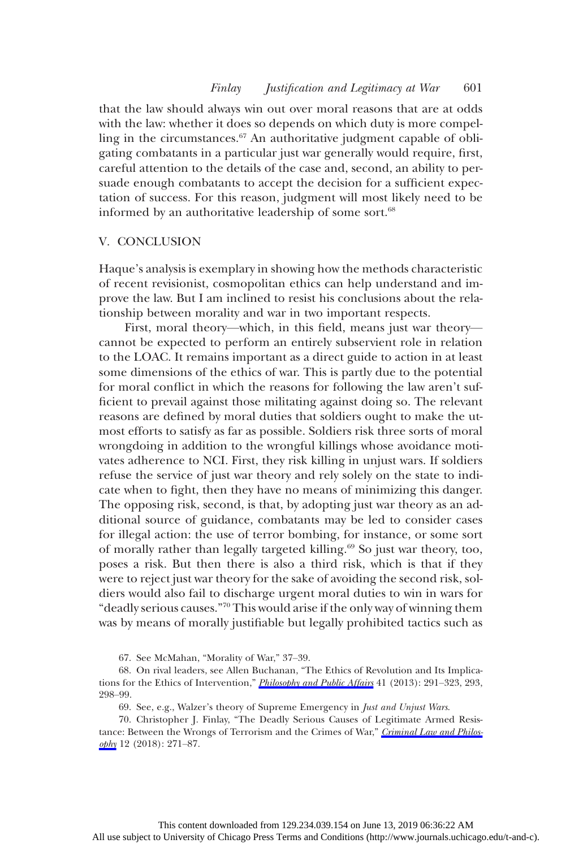that the law should always win out over moral reasons that are at odds with the law: whether it does so depends on which duty is more compelling in the circumstances. $67$  An authoritative judgment capable of obligating combatants in a particular just war generally would require, first, careful attention to the details of the case and, second, an ability to persuade enough combatants to accept the decision for a sufficient expectation of success. For this reason, judgment will most likely need to be informed by an authoritative leadership of some sort.<sup>68</sup>

#### V. CONCLUSION

Haque's analysis is exemplary in showing how the methods characteristic of recent revisionist, cosmopolitan ethics can help understand and improve the law. But I am inclined to resist his conclusions about the relationship between morality and war in two important respects.

First, moral theory—which, in this field, means just war theory cannot be expected to perform an entirely subservient role in relation to the LOAC. It remains important as a direct guide to action in at least some dimensions of the ethics of war. This is partly due to the potential for moral conflict in which the reasons for following the law aren't sufficient to prevail against those militating against doing so. The relevant reasons are defined by moral duties that soldiers ought to make the utmost efforts to satisfy as far as possible. Soldiers risk three sorts of moral wrongdoing in addition to the wrongful killings whose avoidance motivates adherence to NCI. First, they risk killing in unjust wars. If soldiers refuse the service of just war theory and rely solely on the state to indicate when to fight, then they have no means of minimizing this danger. The opposing risk, second, is that, by adopting just war theory as an additional source of guidance, combatants may be led to consider cases for illegal action: the use of terror bombing, for instance, or some sort of morally rather than legally targeted killing.<sup>69</sup> So just war theory, too, poses a risk. But then there is also a third risk, which is that if they were to reject just war theory for the sake of avoiding the second risk, soldiers would also fail to discharge urgent moral duties to win in wars for "deadly serious causes."<sup>70</sup> This would arise if the only way of winning them was by means of morally justifiable but legally prohibited tactics such as

67. See McMahan, "Morality of War," 37–39.

68. On rival leaders, see Allen Buchanan, "The Ethics of Revolution and Its Implications for the Ethics of Intervention," *[Philosophy and Public Affairs](https://www.journals.uchicago.edu/action/showLinks?doi=10.1086%2F702973&crossref=10.1111%2Fpapa.12021&citationId=p_n_100)* 41 (2013): 291–323, 293, 298–99.

69. See, e.g., Walzer's theory of Supreme Emergency in Just and Unjust Wars.

70. Christopher J. Finlay, "The Deadly Serious Causes of Legitimate Armed Resis-tance: Between the Wrongs of Terrorism and the Crimes of War," [Criminal Law and Philos](https://www.journals.uchicago.edu/action/showLinks?doi=10.1086%2F702973&crossref=10.1007%2Fs11572-017-9420-2&citationId=p_n_102)[ophy](https://www.journals.uchicago.edu/action/showLinks?doi=10.1086%2F702973&crossref=10.1007%2Fs11572-017-9420-2&citationId=p_n_102) 12 (2018): 271–87.